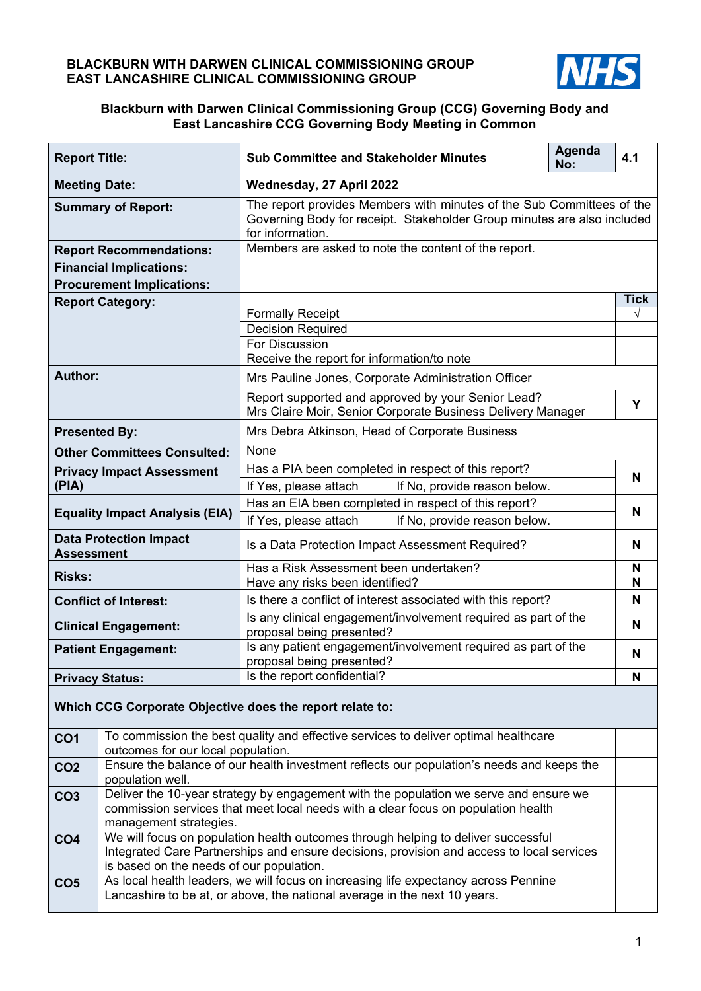### **BLACKBURN WITH DARWEN CLINICAL COMMISSIONING GROUP EAST LANCASHIRE CLINICAL COMMISSIONING GROUP**



### **Blackburn with Darwen Clinical Commissioning Group (CCG) Governing Body and East Lancashire CCG Governing Body Meeting in Common**

| <b>Report Title:</b>                                     |                                          | <b>Sub Committee and Stakeholder Minutes</b>                                                                                                                                   | Agenda<br>No: | 4.1         |
|----------------------------------------------------------|------------------------------------------|--------------------------------------------------------------------------------------------------------------------------------------------------------------------------------|---------------|-------------|
| <b>Meeting Date:</b>                                     |                                          | Wednesday, 27 April 2022                                                                                                                                                       |               |             |
| <b>Summary of Report:</b>                                |                                          | The report provides Members with minutes of the Sub Committees of the<br>Governing Body for receipt. Stakeholder Group minutes are also included<br>for information.           |               |             |
|                                                          | <b>Report Recommendations:</b>           | Members are asked to note the content of the report.                                                                                                                           |               |             |
|                                                          | <b>Financial Implications:</b>           |                                                                                                                                                                                |               |             |
|                                                          | <b>Procurement Implications:</b>         |                                                                                                                                                                                |               |             |
|                                                          | <b>Report Category:</b>                  |                                                                                                                                                                                |               | <b>Tick</b> |
|                                                          |                                          | <b>Formally Receipt</b>                                                                                                                                                        |               | $\sqrt{}$   |
|                                                          |                                          | <b>Decision Required</b><br><b>For Discussion</b>                                                                                                                              |               |             |
|                                                          |                                          | Receive the report for information/to note                                                                                                                                     |               |             |
| Author:                                                  |                                          | Mrs Pauline Jones, Corporate Administration Officer                                                                                                                            |               |             |
|                                                          |                                          | Report supported and approved by your Senior Lead?                                                                                                                             |               |             |
|                                                          |                                          | Mrs Claire Moir, Senior Corporate Business Delivery Manager                                                                                                                    |               | Υ           |
| <b>Presented By:</b>                                     |                                          | Mrs Debra Atkinson, Head of Corporate Business                                                                                                                                 |               |             |
|                                                          | <b>Other Committees Consulted:</b>       | None                                                                                                                                                                           |               |             |
|                                                          | <b>Privacy Impact Assessment</b>         | Has a PIA been completed in respect of this report?                                                                                                                            |               |             |
| (PIA)                                                    |                                          | If Yes, please attach<br>If No, provide reason below.                                                                                                                          |               | N           |
|                                                          | <b>Equality Impact Analysis (EIA)</b>    | Has an EIA been completed in respect of this report?                                                                                                                           |               | N           |
|                                                          |                                          | If Yes, please attach<br>If No, provide reason below.                                                                                                                          |               |             |
| <b>Data Protection Impact</b><br><b>Assessment</b>       |                                          | Is a Data Protection Impact Assessment Required?                                                                                                                               |               | N           |
| <b>Risks:</b>                                            |                                          | Has a Risk Assessment been undertaken?<br>Have any risks been identified?                                                                                                      |               | N<br>N      |
|                                                          | <b>Conflict of Interest:</b>             | Is there a conflict of interest associated with this report?                                                                                                                   |               | N           |
|                                                          | <b>Clinical Engagement:</b>              | Is any clinical engagement/involvement required as part of the<br>proposal being presented?                                                                                    |               | N           |
|                                                          | <b>Patient Engagement:</b>               | Is any patient engagement/involvement required as part of the<br>proposal being presented?                                                                                     |               | N           |
|                                                          | <b>Privacy Status:</b>                   | Is the report confidential?                                                                                                                                                    |               | N           |
| Which CCG Corporate Objective does the report relate to: |                                          |                                                                                                                                                                                |               |             |
| CO <sub>1</sub>                                          | outcomes for our local population.       | To commission the best quality and effective services to deliver optimal healthcare                                                                                            |               |             |
| CO <sub>2</sub>                                          | population well.                         | Ensure the balance of our health investment reflects our population's needs and keeps the                                                                                      |               |             |
| CO <sub>3</sub>                                          | management strategies.                   | Deliver the 10-year strategy by engagement with the population we serve and ensure we<br>commission services that meet local needs with a clear focus on population health     |               |             |
| CO <sub>4</sub>                                          | is based on the needs of our population. | We will focus on population health outcomes through helping to deliver successful<br>Integrated Care Partnerships and ensure decisions, provision and access to local services |               |             |
| CO <sub>5</sub>                                          |                                          | As local health leaders, we will focus on increasing life expectancy across Pennine<br>Lancashire to be at, or above, the national average in the next 10 years.               |               |             |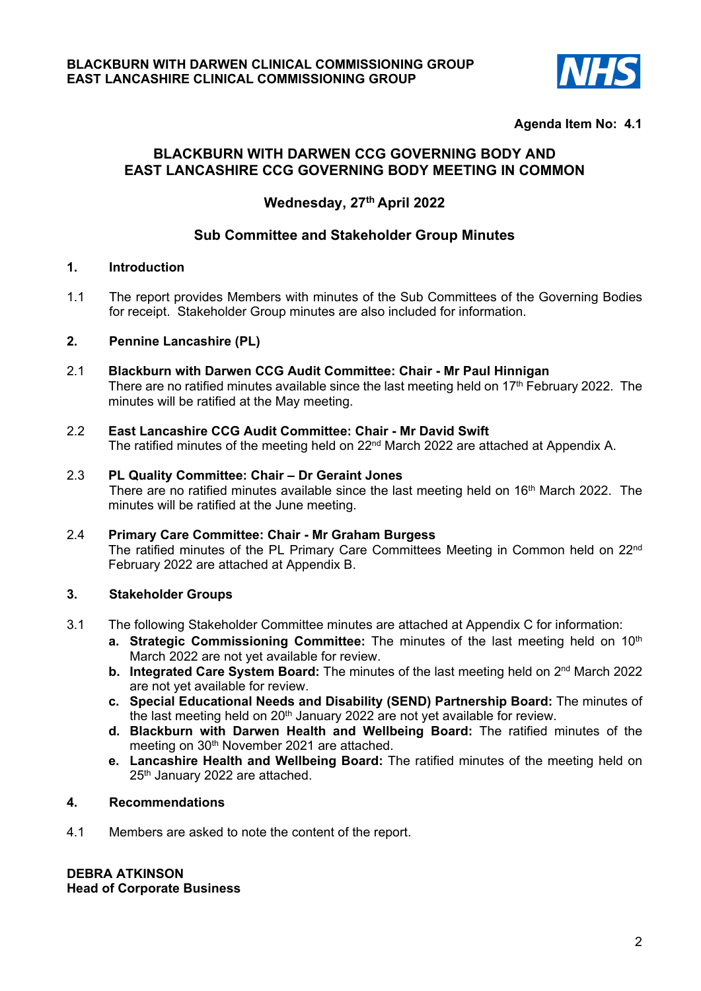

## **Agenda Item No: 4.1**

# **BLACKBURN WITH DARWEN CCG GOVERNING BODY AND EAST LANCASHIRE CCG GOVERNING BODY MEETING IN COMMON**

# **Wednesday, 27th April 2022**

# **Sub Committee and Stakeholder Group Minutes**

## **1. Introduction**

1.1 The report provides Members with minutes of the Sub Committees of the Governing Bodies for receipt. Stakeholder Group minutes are also included for information.

### **2. Pennine Lancashire (PL)**

- 2.1 **Blackburn with Darwen CCG Audit Committee: Chair Mr Paul Hinnigan**  There are no ratified minutes available since the last meeting held on  $17<sup>th</sup>$  February 2022. The minutes will be ratified at the May meeting.
- 2.2 **East Lancashire CCG Audit Committee: Chair Mr David Swift**  The ratified minutes of the meeting held on 22<sup>nd</sup> March 2022 are attached at Appendix A.
- 2.3 **PL Quality Committee: Chair Dr Geraint Jones**  There are no ratified minutes available since the last meeting held on 16<sup>th</sup> March 2022. The minutes will be ratified at the June meeting.
- 2.4 **Primary Care Committee: Chair Mr Graham Burgess**  The ratified minutes of the PL Primary Care Committees Meeting in Common held on 22nd February 2022 are attached at Appendix B.

### **3. Stakeholder Groups**

- 3.1 The following Stakeholder Committee minutes are attached at Appendix C for information:
	- **a. Strategic Commissioning Committee:** The minutes of the last meeting held on 10<sup>th</sup> March 2022 are not yet available for review.
	- **b. Integrated Care System Board:** The minutes of the last meeting held on 2<sup>nd</sup> March 2022 are not yet available for review.
	- **c. Special Educational Needs and Disability (SEND) Partnership Board:** The minutes of the last meeting held on 20<sup>th</sup> January 2022 are not yet available for review.
	- **d. Blackburn with Darwen Health and Wellbeing Board:** The ratified minutes of the meeting on 30<sup>th</sup> November 2021 are attached.
	- **e. Lancashire Health and Wellbeing Board:** The ratified minutes of the meeting held on 25<sup>th</sup> January 2022 are attached.

### **4. Recommendations**

4.1 Members are asked to note the content of the report.

**DEBRA ATKINSON Head of Corporate Business**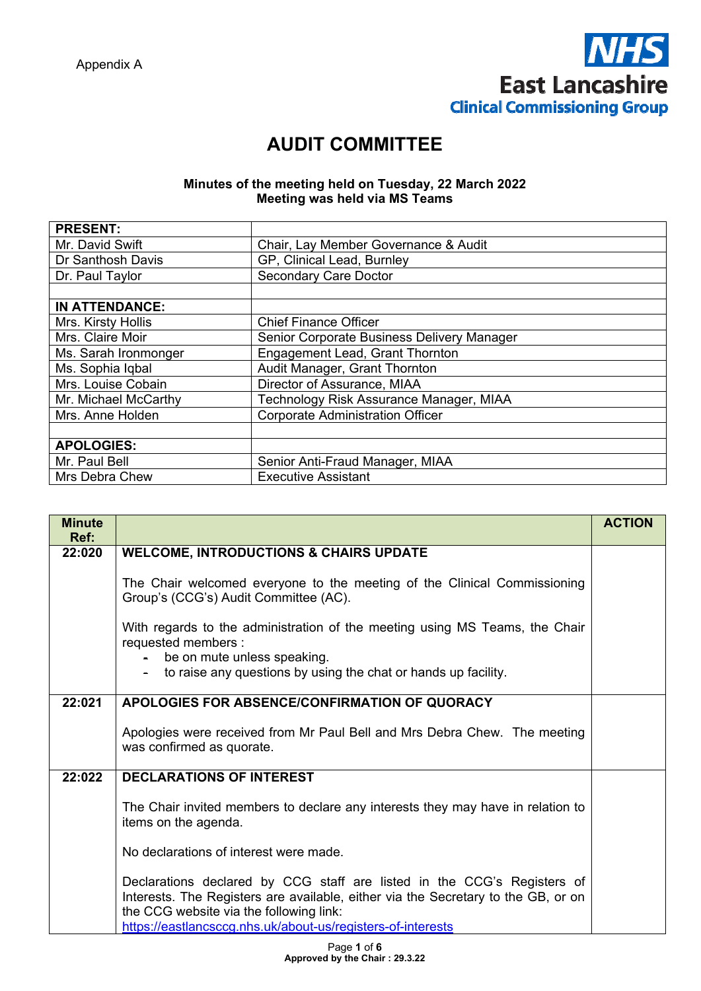

# **AUDIT COMMITTEE**

### **Minutes of the meeting held on Tuesday, 22 March 2022 Meeting was held via MS Teams**

| <b>PRESENT:</b>       |                                            |
|-----------------------|--------------------------------------------|
| Mr. David Swift       | Chair, Lay Member Governance & Audit       |
| Dr Santhosh Davis     | GP, Clinical Lead, Burnley                 |
| Dr. Paul Taylor       | <b>Secondary Care Doctor</b>               |
|                       |                                            |
| <b>IN ATTENDANCE:</b> |                                            |
| Mrs. Kirsty Hollis    | <b>Chief Finance Officer</b>               |
| Mrs. Claire Moir      | Senior Corporate Business Delivery Manager |
| Ms. Sarah Ironmonger  | Engagement Lead, Grant Thornton            |
| Ms. Sophia Iqbal      | Audit Manager, Grant Thornton              |
| Mrs. Louise Cobain    | Director of Assurance, MIAA                |
| Mr. Michael McCarthy  | Technology Risk Assurance Manager, MIAA    |
| Mrs. Anne Holden      | <b>Corporate Administration Officer</b>    |
|                       |                                            |
| <b>APOLOGIES:</b>     |                                            |
| Mr. Paul Bell         | Senior Anti-Fraud Manager, MIAA            |
| Mrs Debra Chew        | <b>Executive Assistant</b>                 |

| <b>Minute</b><br>Ref: |                                                                                                                                                                                                                                                                        | <b>ACTION</b> |
|-----------------------|------------------------------------------------------------------------------------------------------------------------------------------------------------------------------------------------------------------------------------------------------------------------|---------------|
| 22:020                | <b>WELCOME, INTRODUCTIONS &amp; CHAIRS UPDATE</b>                                                                                                                                                                                                                      |               |
|                       | The Chair welcomed everyone to the meeting of the Clinical Commissioning<br>Group's (CCG's) Audit Committee (AC).                                                                                                                                                      |               |
|                       | With regards to the administration of the meeting using MS Teams, the Chair<br>requested members :<br>be on mute unless speaking.<br>to raise any questions by using the chat or hands up facility.                                                                    |               |
| 22:021                | APOLOGIES FOR ABSENCE/CONFIRMATION OF QUORACY                                                                                                                                                                                                                          |               |
|                       | Apologies were received from Mr Paul Bell and Mrs Debra Chew. The meeting<br>was confirmed as quorate.                                                                                                                                                                 |               |
| 22:022                | <b>DECLARATIONS OF INTEREST</b>                                                                                                                                                                                                                                        |               |
|                       | The Chair invited members to declare any interests they may have in relation to<br>items on the agenda.                                                                                                                                                                |               |
|                       | No declarations of interest were made.                                                                                                                                                                                                                                 |               |
|                       | Declarations declared by CCG staff are listed in the CCG's Registers of<br>Interests. The Registers are available, either via the Secretary to the GB, or on<br>the CCG website via the following link:<br>https://eastlancsccq.nhs.uk/about-us/registers-of-interests |               |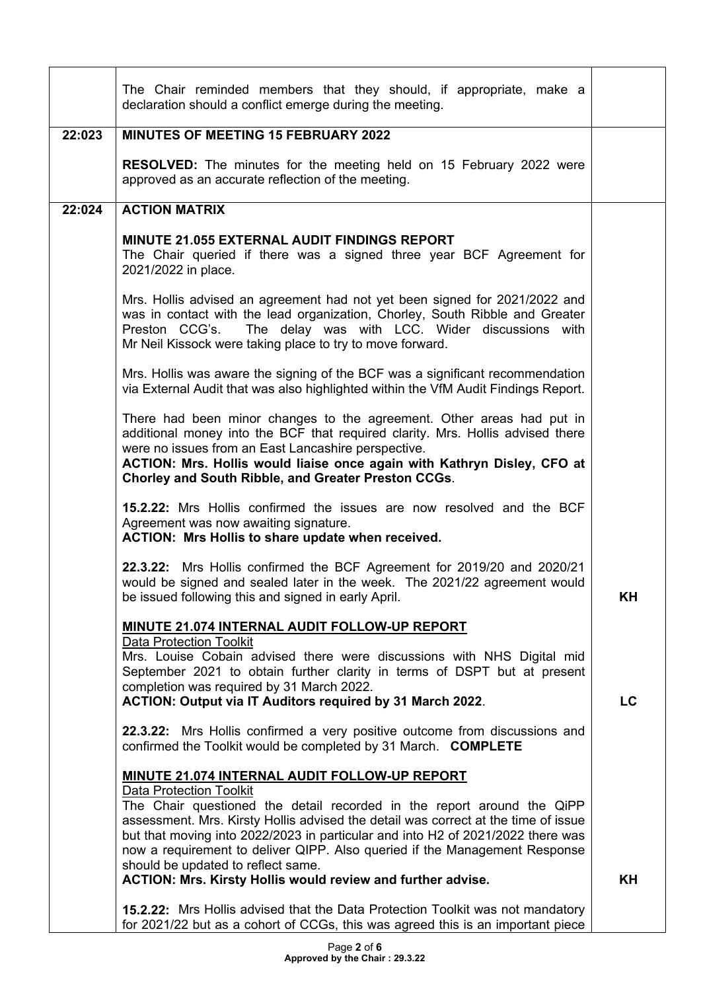|        | The Chair reminded members that they should, if appropriate, make a<br>declaration should a conflict emerge during the meeting.                                                                                                                                                                                                                                                                       |    |
|--------|-------------------------------------------------------------------------------------------------------------------------------------------------------------------------------------------------------------------------------------------------------------------------------------------------------------------------------------------------------------------------------------------------------|----|
| 22:023 | <b>MINUTES OF MEETING 15 FEBRUARY 2022</b>                                                                                                                                                                                                                                                                                                                                                            |    |
|        | <b>RESOLVED:</b> The minutes for the meeting held on 15 February 2022 were<br>approved as an accurate reflection of the meeting.                                                                                                                                                                                                                                                                      |    |
| 22:024 | <b>ACTION MATRIX</b>                                                                                                                                                                                                                                                                                                                                                                                  |    |
|        | MINUTE 21.055 EXTERNAL AUDIT FINDINGS REPORT<br>The Chair queried if there was a signed three year BCF Agreement for<br>2021/2022 in place.                                                                                                                                                                                                                                                           |    |
|        | Mrs. Hollis advised an agreement had not yet been signed for 2021/2022 and<br>was in contact with the lead organization, Chorley, South Ribble and Greater<br>The delay was with LCC. Wider discussions with<br>Preston CCG's.<br>Mr Neil Kissock were taking place to try to move forward.                                                                                                           |    |
|        | Mrs. Hollis was aware the signing of the BCF was a significant recommendation<br>via External Audit that was also highlighted within the VfM Audit Findings Report.                                                                                                                                                                                                                                   |    |
|        | There had been minor changes to the agreement. Other areas had put in<br>additional money into the BCF that required clarity. Mrs. Hollis advised there<br>were no issues from an East Lancashire perspective.<br>ACTION: Mrs. Hollis would liaise once again with Kathryn Disley, CFO at<br>Chorley and South Ribble, and Greater Preston CCGs.                                                      |    |
|        | 15.2.22: Mrs Hollis confirmed the issues are now resolved and the BCF<br>Agreement was now awaiting signature.<br>ACTION: Mrs Hollis to share update when received.                                                                                                                                                                                                                                   |    |
|        | 22.3.22: Mrs Hollis confirmed the BCF Agreement for 2019/20 and 2020/21<br>would be signed and sealed later in the week. The 2021/22 agreement would<br>be issued following this and signed in early April.                                                                                                                                                                                           | ΚH |
|        | MINUTE 21.074 INTERNAL AUDIT FOLLOW-UP REPORT                                                                                                                                                                                                                                                                                                                                                         |    |
|        | <b>Data Protection Toolkit</b><br>Mrs. Louise Cobain advised there were discussions with NHS Digital mid<br>September 2021 to obtain further clarity in terms of DSPT but at present<br>completion was required by 31 March 2022.<br>ACTION: Output via IT Auditors required by 31 March 2022.                                                                                                        | LC |
|        | 22.3.22: Mrs Hollis confirmed a very positive outcome from discussions and<br>confirmed the Toolkit would be completed by 31 March. COMPLETE                                                                                                                                                                                                                                                          |    |
|        | <b>MINUTE 21.074 INTERNAL AUDIT FOLLOW-UP REPORT</b>                                                                                                                                                                                                                                                                                                                                                  |    |
|        | <b>Data Protection Toolkit</b><br>The Chair questioned the detail recorded in the report around the QiPP<br>assessment. Mrs. Kirsty Hollis advised the detail was correct at the time of issue<br>but that moving into 2022/2023 in particular and into H2 of 2021/2022 there was<br>now a requirement to deliver QIPP. Also queried if the Management Response<br>should be updated to reflect same. |    |
|        | <b>ACTION: Mrs. Kirsty Hollis would review and further advise.</b>                                                                                                                                                                                                                                                                                                                                    | KH |
|        | 15.2.22: Mrs Hollis advised that the Data Protection Toolkit was not mandatory<br>for 2021/22 but as a cohort of CCGs, this was agreed this is an important piece                                                                                                                                                                                                                                     |    |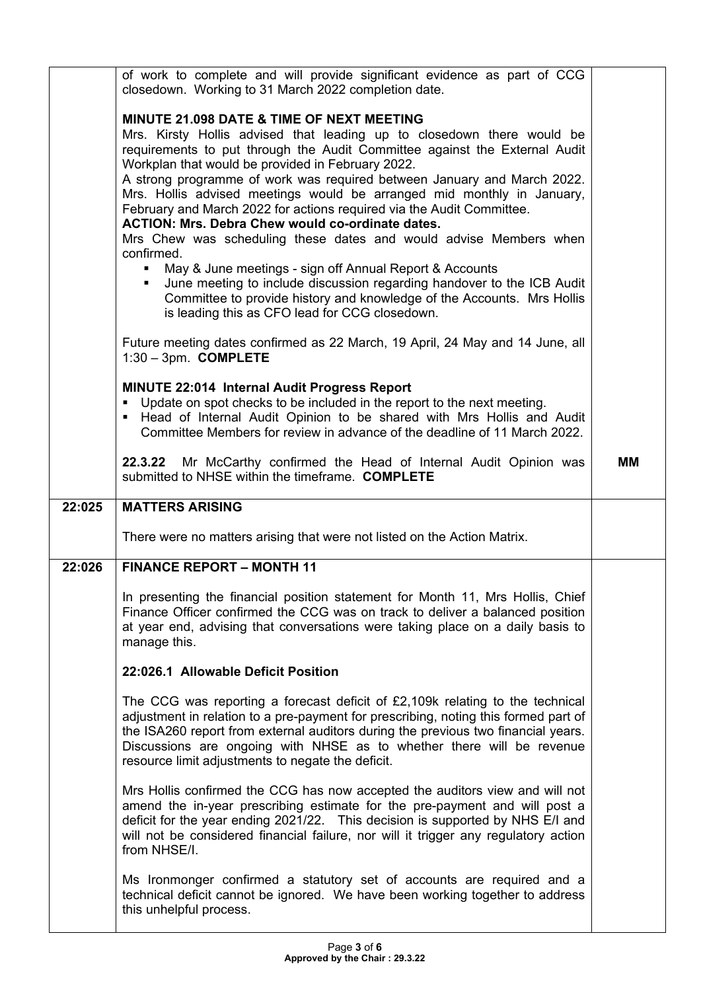|        | of work to complete and will provide significant evidence as part of CCG<br>closedown. Working to 31 March 2022 completion date.                                                                                                                                                                                                                                                                                                                                                                                                                                                                                                                                                                                                                                                                                                                                                                               |    |
|--------|----------------------------------------------------------------------------------------------------------------------------------------------------------------------------------------------------------------------------------------------------------------------------------------------------------------------------------------------------------------------------------------------------------------------------------------------------------------------------------------------------------------------------------------------------------------------------------------------------------------------------------------------------------------------------------------------------------------------------------------------------------------------------------------------------------------------------------------------------------------------------------------------------------------|----|
|        | <b>MINUTE 21.098 DATE &amp; TIME OF NEXT MEETING</b><br>Mrs. Kirsty Hollis advised that leading up to closedown there would be<br>requirements to put through the Audit Committee against the External Audit<br>Workplan that would be provided in February 2022.<br>A strong programme of work was required between January and March 2022.<br>Mrs. Hollis advised meetings would be arranged mid monthly in January,<br>February and March 2022 for actions required via the Audit Committee.<br><b>ACTION: Mrs. Debra Chew would co-ordinate dates.</b><br>Mrs Chew was scheduling these dates and would advise Members when<br>confirmed.<br>May & June meetings - sign off Annual Report & Accounts<br>June meeting to include discussion regarding handover to the ICB Audit<br>Committee to provide history and knowledge of the Accounts. Mrs Hollis<br>is leading this as CFO lead for CCG closedown. |    |
|        | Future meeting dates confirmed as 22 March, 19 April, 24 May and 14 June, all<br>$1:30 - 3$ pm. COMPLETE                                                                                                                                                                                                                                                                                                                                                                                                                                                                                                                                                                                                                                                                                                                                                                                                       |    |
|        | MINUTE 22:014 Internal Audit Progress Report<br>Update on spot checks to be included in the report to the next meeting.<br>- Head of Internal Audit Opinion to be shared with Mrs Hollis and Audit<br>Committee Members for review in advance of the deadline of 11 March 2022.                                                                                                                                                                                                                                                                                                                                                                                                                                                                                                                                                                                                                                |    |
|        | 22.3.22 Mr McCarthy confirmed the Head of Internal Audit Opinion was<br>submitted to NHSE within the timeframe. COMPLETE                                                                                                                                                                                                                                                                                                                                                                                                                                                                                                                                                                                                                                                                                                                                                                                       | MМ |
|        |                                                                                                                                                                                                                                                                                                                                                                                                                                                                                                                                                                                                                                                                                                                                                                                                                                                                                                                |    |
| 22:025 | <b>MATTERS ARISING</b>                                                                                                                                                                                                                                                                                                                                                                                                                                                                                                                                                                                                                                                                                                                                                                                                                                                                                         |    |
|        | There were no matters arising that were not listed on the Action Matrix.                                                                                                                                                                                                                                                                                                                                                                                                                                                                                                                                                                                                                                                                                                                                                                                                                                       |    |
| 22:026 | <b>FINANCE REPORT - MONTH 11</b>                                                                                                                                                                                                                                                                                                                                                                                                                                                                                                                                                                                                                                                                                                                                                                                                                                                                               |    |
|        | In presenting the financial position statement for Month 11, Mrs Hollis, Chief<br>Finance Officer confirmed the CCG was on track to deliver a balanced position<br>at year end, advising that conversations were taking place on a daily basis to<br>manage this.                                                                                                                                                                                                                                                                                                                                                                                                                                                                                                                                                                                                                                              |    |
|        | 22:026.1 Allowable Deficit Position                                                                                                                                                                                                                                                                                                                                                                                                                                                                                                                                                                                                                                                                                                                                                                                                                                                                            |    |
|        | The CCG was reporting a forecast deficit of $E2,109k$ relating to the technical<br>adjustment in relation to a pre-payment for prescribing, noting this formed part of<br>the ISA260 report from external auditors during the previous two financial years.<br>Discussions are ongoing with NHSE as to whether there will be revenue<br>resource limit adjustments to negate the deficit.                                                                                                                                                                                                                                                                                                                                                                                                                                                                                                                      |    |
|        | Mrs Hollis confirmed the CCG has now accepted the auditors view and will not<br>amend the in-year prescribing estimate for the pre-payment and will post a<br>deficit for the year ending 2021/22. This decision is supported by NHS E/I and<br>will not be considered financial failure, nor will it trigger any regulatory action<br>from NHSE/I.                                                                                                                                                                                                                                                                                                                                                                                                                                                                                                                                                            |    |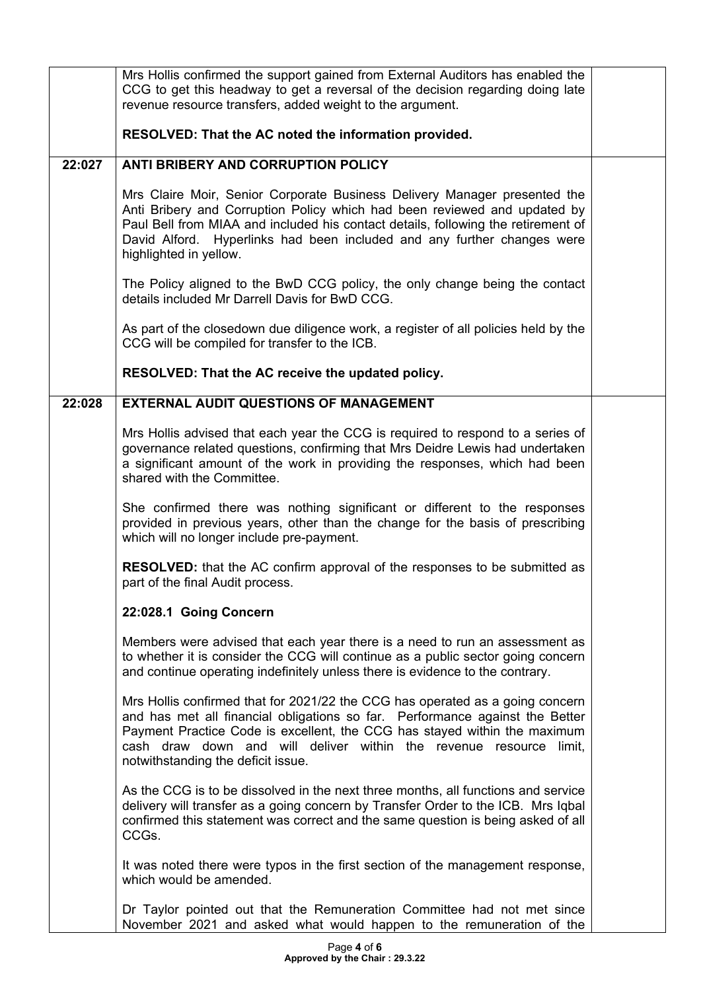|        | Mrs Hollis confirmed the support gained from External Auditors has enabled the<br>CCG to get this headway to get a reversal of the decision regarding doing late<br>revenue resource transfers, added weight to the argument.                                                                                                                          |  |
|--------|--------------------------------------------------------------------------------------------------------------------------------------------------------------------------------------------------------------------------------------------------------------------------------------------------------------------------------------------------------|--|
|        | RESOLVED: That the AC noted the information provided.                                                                                                                                                                                                                                                                                                  |  |
| 22:027 | <b>ANTI BRIBERY AND CORRUPTION POLICY</b>                                                                                                                                                                                                                                                                                                              |  |
|        | Mrs Claire Moir, Senior Corporate Business Delivery Manager presented the<br>Anti Bribery and Corruption Policy which had been reviewed and updated by<br>Paul Bell from MIAA and included his contact details, following the retirement of<br>David Alford. Hyperlinks had been included and any further changes were<br>highlighted in yellow.       |  |
|        | The Policy aligned to the BwD CCG policy, the only change being the contact<br>details included Mr Darrell Davis for BwD CCG.                                                                                                                                                                                                                          |  |
|        | As part of the closedown due diligence work, a register of all policies held by the<br>CCG will be compiled for transfer to the ICB.                                                                                                                                                                                                                   |  |
|        | RESOLVED: That the AC receive the updated policy.                                                                                                                                                                                                                                                                                                      |  |
| 22:028 | <b>EXTERNAL AUDIT QUESTIONS OF MANAGEMENT</b>                                                                                                                                                                                                                                                                                                          |  |
|        | Mrs Hollis advised that each year the CCG is required to respond to a series of<br>governance related questions, confirming that Mrs Deidre Lewis had undertaken<br>a significant amount of the work in providing the responses, which had been<br>shared with the Committee.                                                                          |  |
|        | She confirmed there was nothing significant or different to the responses<br>provided in previous years, other than the change for the basis of prescribing<br>which will no longer include pre-payment.                                                                                                                                               |  |
|        | <b>RESOLVED:</b> that the AC confirm approval of the responses to be submitted as<br>part of the final Audit process.                                                                                                                                                                                                                                  |  |
|        | 22:028.1 Going Concern                                                                                                                                                                                                                                                                                                                                 |  |
|        | Members were advised that each year there is a need to run an assessment as<br>to whether it is consider the CCG will continue as a public sector going concern<br>and continue operating indefinitely unless there is evidence to the contrary.                                                                                                       |  |
|        | Mrs Hollis confirmed that for 2021/22 the CCG has operated as a going concern<br>and has met all financial obligations so far. Performance against the Better<br>Payment Practice Code is excellent, the CCG has stayed within the maximum<br>cash draw down and will deliver within the revenue resource limit,<br>notwithstanding the deficit issue. |  |
|        | As the CCG is to be dissolved in the next three months, all functions and service<br>delivery will transfer as a going concern by Transfer Order to the ICB. Mrs Iqbal<br>confirmed this statement was correct and the same question is being asked of all<br>CCGs.                                                                                    |  |
|        | It was noted there were typos in the first section of the management response,<br>which would be amended.                                                                                                                                                                                                                                              |  |
|        | Dr Taylor pointed out that the Remuneration Committee had not met since<br>November 2021 and asked what would happen to the remuneration of the                                                                                                                                                                                                        |  |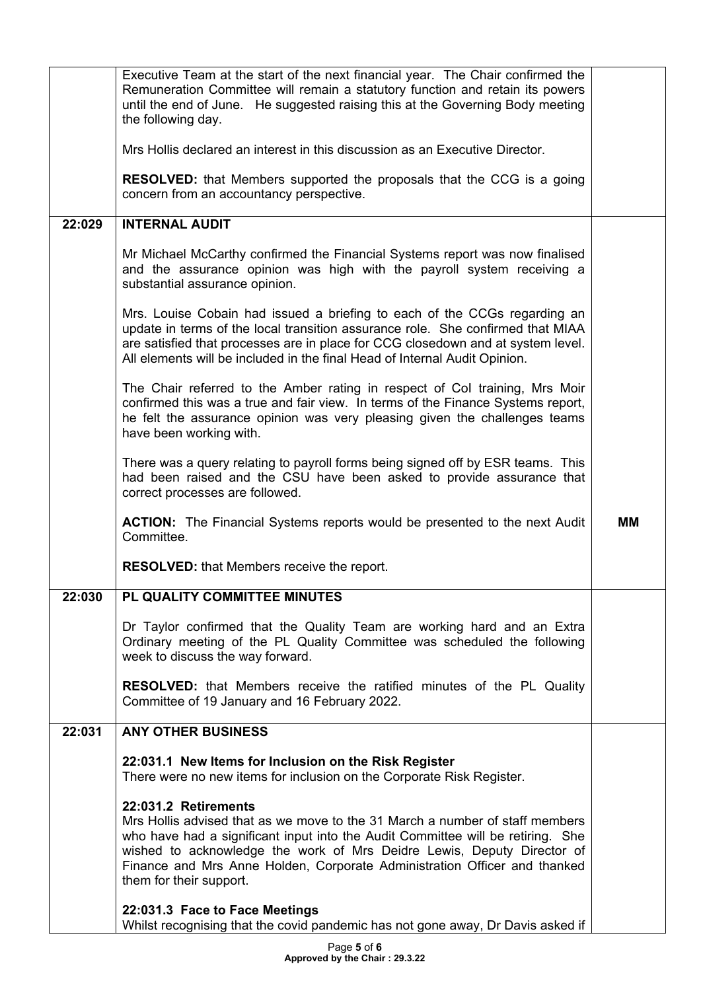|        | Executive Team at the start of the next financial year. The Chair confirmed the<br>Remuneration Committee will remain a statutory function and retain its powers<br>until the end of June. He suggested raising this at the Governing Body meeting<br>the following day.                                                                                                  |    |
|--------|---------------------------------------------------------------------------------------------------------------------------------------------------------------------------------------------------------------------------------------------------------------------------------------------------------------------------------------------------------------------------|----|
|        | Mrs Hollis declared an interest in this discussion as an Executive Director.                                                                                                                                                                                                                                                                                              |    |
|        | <b>RESOLVED:</b> that Members supported the proposals that the CCG is a going<br>concern from an accountancy perspective.                                                                                                                                                                                                                                                 |    |
| 22:029 | <b>INTERNAL AUDIT</b>                                                                                                                                                                                                                                                                                                                                                     |    |
|        | Mr Michael McCarthy confirmed the Financial Systems report was now finalised<br>and the assurance opinion was high with the payroll system receiving a<br>substantial assurance opinion.                                                                                                                                                                                  |    |
|        | Mrs. Louise Cobain had issued a briefing to each of the CCGs regarding an<br>update in terms of the local transition assurance role. She confirmed that MIAA<br>are satisfied that processes are in place for CCG closedown and at system level.<br>All elements will be included in the final Head of Internal Audit Opinion.                                            |    |
|        | The Chair referred to the Amber rating in respect of Col training, Mrs Moir<br>confirmed this was a true and fair view. In terms of the Finance Systems report,<br>he felt the assurance opinion was very pleasing given the challenges teams<br>have been working with.                                                                                                  |    |
|        | There was a query relating to payroll forms being signed off by ESR teams. This<br>had been raised and the CSU have been asked to provide assurance that<br>correct processes are followed.                                                                                                                                                                               |    |
|        | <b>ACTION:</b> The Financial Systems reports would be presented to the next Audit<br>Committee.                                                                                                                                                                                                                                                                           | MМ |
|        | <b>RESOLVED:</b> that Members receive the report.                                                                                                                                                                                                                                                                                                                         |    |
| 22:030 | PL QUALITY COMMITTEE MINUTES                                                                                                                                                                                                                                                                                                                                              |    |
|        | Dr Taylor confirmed that the Quality Team are working hard and an Extra<br>Ordinary meeting of the PL Quality Committee was scheduled the following<br>week to discuss the way forward.                                                                                                                                                                                   |    |
|        | RESOLVED: that Members receive the ratified minutes of the PL Quality<br>Committee of 19 January and 16 February 2022.                                                                                                                                                                                                                                                    |    |
| 22:031 | <b>ANY OTHER BUSINESS</b>                                                                                                                                                                                                                                                                                                                                                 |    |
|        | 22:031.1 New Items for Inclusion on the Risk Register<br>There were no new items for inclusion on the Corporate Risk Register.                                                                                                                                                                                                                                            |    |
|        | 22:031.2 Retirements<br>Mrs Hollis advised that as we move to the 31 March a number of staff members<br>who have had a significant input into the Audit Committee will be retiring. She<br>wished to acknowledge the work of Mrs Deidre Lewis, Deputy Director of<br>Finance and Mrs Anne Holden, Corporate Administration Officer and thanked<br>them for their support. |    |
|        | 22:031.3 Face to Face Meetings<br>Whilst recognising that the covid pandemic has not gone away, Dr Davis asked if                                                                                                                                                                                                                                                         |    |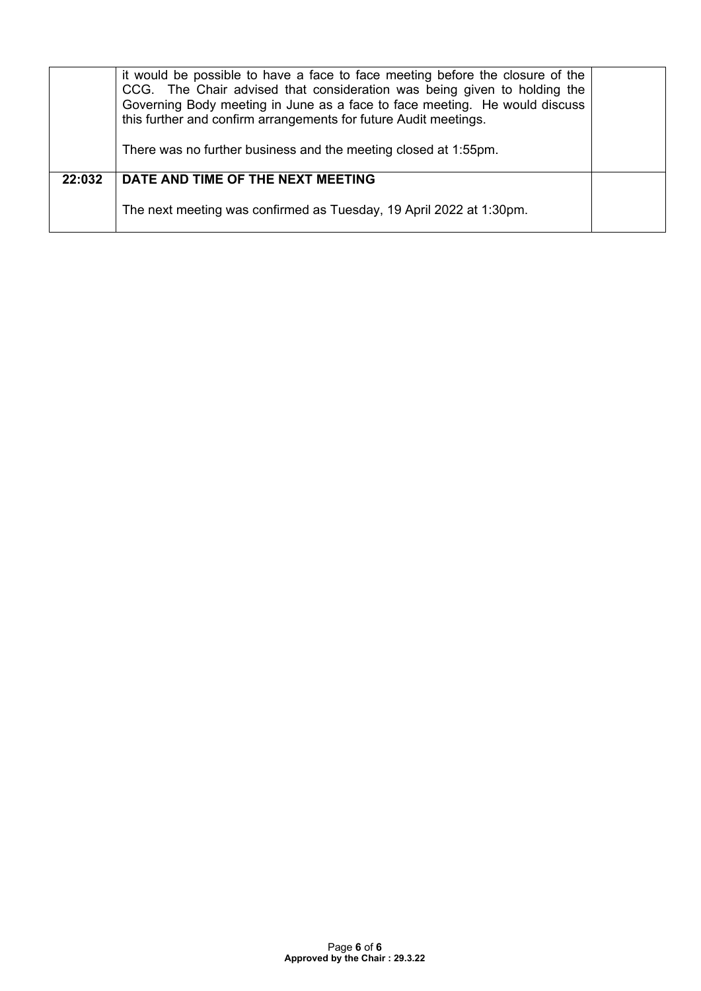|        | it would be possible to have a face to face meeting before the closure of the<br>CCG. The Chair advised that consideration was being given to holding the<br>Governing Body meeting in June as a face to face meeting. He would discuss<br>this further and confirm arrangements for future Audit meetings.<br>There was no further business and the meeting closed at 1:55pm. |  |
|--------|--------------------------------------------------------------------------------------------------------------------------------------------------------------------------------------------------------------------------------------------------------------------------------------------------------------------------------------------------------------------------------|--|
| 22:032 | DATE AND TIME OF THE NEXT MEETING<br>The next meeting was confirmed as Tuesday, 19 April 2022 at 1:30pm.                                                                                                                                                                                                                                                                       |  |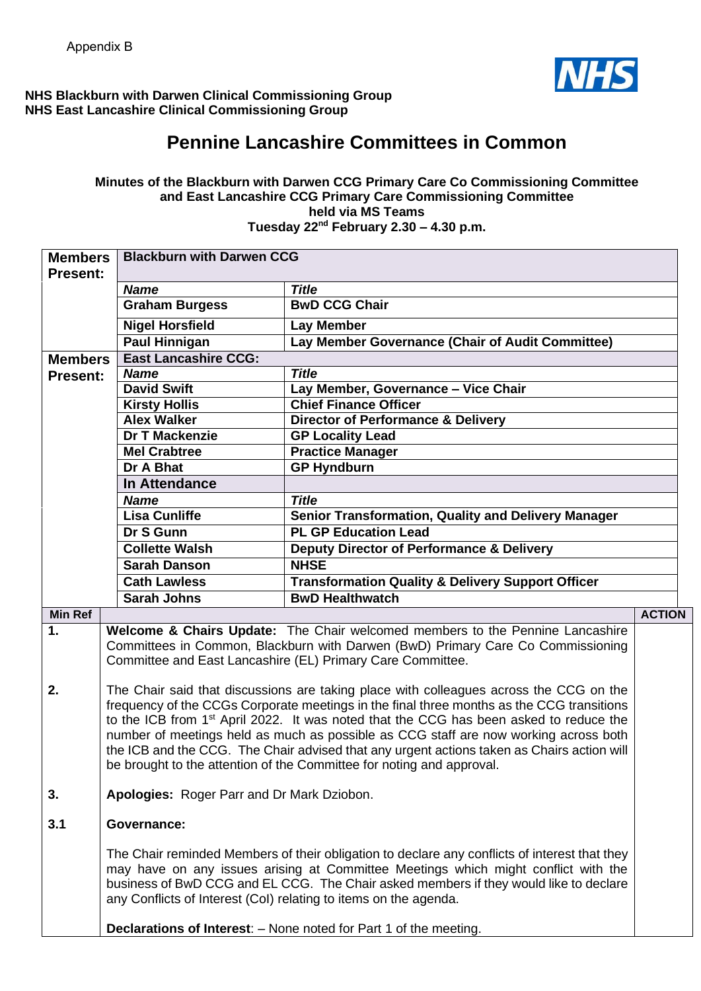

## **NHS Blackburn with Darwen Clinical Commissioning Group NHS East Lancashire Clinical Commissioning Group**

# **Pennine Lancashire Committees in Common**

#### **Minutes of the Blackburn with Darwen CCG Primary Care Co Commissioning Committee and East Lancashire CCG Primary Care Commissioning Committee held via MS Teams Tuesday 22nd February 2.30 – 4.30 p.m.**

| <b>Members</b>  |                                            |                                                                                                                                                                                                                                                                                                                                                  |               |
|-----------------|--------------------------------------------|--------------------------------------------------------------------------------------------------------------------------------------------------------------------------------------------------------------------------------------------------------------------------------------------------------------------------------------------------|---------------|
| <b>Present:</b> | <b>Blackburn with Darwen CCG</b>           |                                                                                                                                                                                                                                                                                                                                                  |               |
|                 | <b>Name</b>                                | <b>Title</b>                                                                                                                                                                                                                                                                                                                                     |               |
|                 | <b>Graham Burgess</b>                      | <b>BwD CCG Chair</b>                                                                                                                                                                                                                                                                                                                             |               |
|                 | <b>Nigel Horsfield</b>                     | <b>Lay Member</b>                                                                                                                                                                                                                                                                                                                                |               |
|                 | <b>Paul Hinnigan</b>                       | Lay Member Governance (Chair of Audit Committee)                                                                                                                                                                                                                                                                                                 |               |
| <b>Members</b>  | <b>East Lancashire CCG:</b>                |                                                                                                                                                                                                                                                                                                                                                  |               |
| <b>Present:</b> | <b>Name</b>                                | <b>Title</b>                                                                                                                                                                                                                                                                                                                                     |               |
|                 | <b>David Swift</b>                         | Lay Member, Governance - Vice Chair                                                                                                                                                                                                                                                                                                              |               |
|                 | <b>Kirsty Hollis</b>                       | <b>Chief Finance Officer</b>                                                                                                                                                                                                                                                                                                                     |               |
|                 | <b>Alex Walker</b>                         | <b>Director of Performance &amp; Delivery</b>                                                                                                                                                                                                                                                                                                    |               |
|                 | <b>Dr T Mackenzie</b>                      | <b>GP Locality Lead</b>                                                                                                                                                                                                                                                                                                                          |               |
|                 | <b>Mel Crabtree</b>                        | <b>Practice Manager</b>                                                                                                                                                                                                                                                                                                                          |               |
|                 | Dr A Bhat                                  | <b>GP Hyndburn</b>                                                                                                                                                                                                                                                                                                                               |               |
|                 | In Attendance                              |                                                                                                                                                                                                                                                                                                                                                  |               |
|                 | <b>Name</b>                                | <b>Title</b>                                                                                                                                                                                                                                                                                                                                     |               |
|                 | <b>Lisa Cunliffe</b>                       | <b>Senior Transformation, Quality and Delivery Manager</b>                                                                                                                                                                                                                                                                                       |               |
|                 | Dr S Gunn                                  | <b>PL GP Education Lead</b>                                                                                                                                                                                                                                                                                                                      |               |
|                 | <b>Collette Walsh</b>                      | <b>Deputy Director of Performance &amp; Delivery</b>                                                                                                                                                                                                                                                                                             |               |
|                 | <b>Sarah Danson</b>                        | <b>NHSE</b>                                                                                                                                                                                                                                                                                                                                      |               |
|                 | <b>Cath Lawless</b>                        | <b>Transformation Quality &amp; Delivery Support Officer</b>                                                                                                                                                                                                                                                                                     |               |
|                 | <b>Sarah Johns</b>                         | <b>BwD Healthwatch</b>                                                                                                                                                                                                                                                                                                                           |               |
| <b>Min Ref</b>  |                                            |                                                                                                                                                                                                                                                                                                                                                  | <b>ACTION</b> |
| 1.              |                                            | Welcome & Chairs Update: The Chair welcomed members to the Pennine Lancashire                                                                                                                                                                                                                                                                    |               |
|                 |                                            | Committees in Common, Blackburn with Darwen (BwD) Primary Care Co Commissioning                                                                                                                                                                                                                                                                  |               |
|                 |                                            |                                                                                                                                                                                                                                                                                                                                                  |               |
|                 |                                            | Committee and East Lancashire (EL) Primary Care Committee.                                                                                                                                                                                                                                                                                       |               |
|                 |                                            |                                                                                                                                                                                                                                                                                                                                                  |               |
| 2.              |                                            | The Chair said that discussions are taking place with colleagues across the CCG on the                                                                                                                                                                                                                                                           |               |
|                 |                                            | frequency of the CCGs Corporate meetings in the final three months as the CCG transitions                                                                                                                                                                                                                                                        |               |
|                 |                                            | to the ICB from 1 <sup>st</sup> April 2022. It was noted that the CCG has been asked to reduce the                                                                                                                                                                                                                                               |               |
|                 |                                            | number of meetings held as much as possible as CCG staff are now working across both                                                                                                                                                                                                                                                             |               |
|                 |                                            | the ICB and the CCG. The Chair advised that any urgent actions taken as Chairs action will                                                                                                                                                                                                                                                       |               |
|                 |                                            | be brought to the attention of the Committee for noting and approval.                                                                                                                                                                                                                                                                            |               |
| 3.              | Apologies: Roger Parr and Dr Mark Dziobon. |                                                                                                                                                                                                                                                                                                                                                  |               |
|                 |                                            |                                                                                                                                                                                                                                                                                                                                                  |               |
| 3.1             | <b>Governance:</b>                         |                                                                                                                                                                                                                                                                                                                                                  |               |
|                 |                                            | The Chair reminded Members of their obligation to declare any conflicts of interest that they<br>may have on any issues arising at Committee Meetings which might conflict with the<br>business of BwD CCG and EL CCG. The Chair asked members if they would like to declare<br>any Conflicts of Interest (CoI) relating to items on the agenda. |               |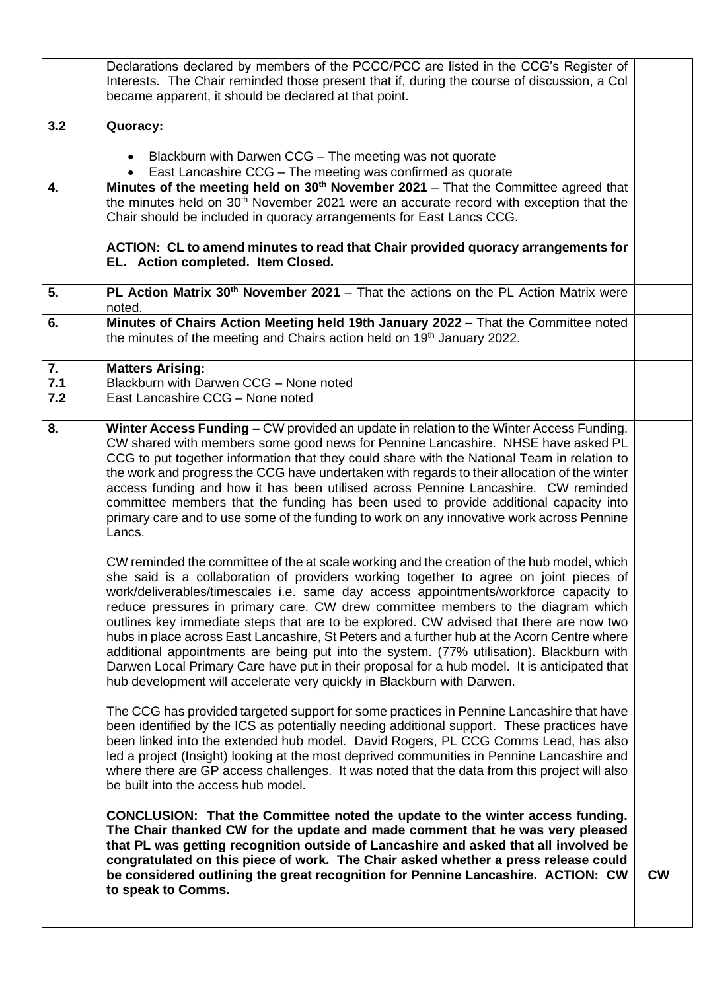|            | Declarations declared by members of the PCCC/PCC are listed in the CCG's Register of                                                                                                                                                                                                                                                                                                                                                                                                                                                                                                                                                                                                                                                                                                                                            |           |
|------------|---------------------------------------------------------------------------------------------------------------------------------------------------------------------------------------------------------------------------------------------------------------------------------------------------------------------------------------------------------------------------------------------------------------------------------------------------------------------------------------------------------------------------------------------------------------------------------------------------------------------------------------------------------------------------------------------------------------------------------------------------------------------------------------------------------------------------------|-----------|
|            | Interests. The Chair reminded those present that if, during the course of discussion, a Col<br>became apparent, it should be declared at that point.                                                                                                                                                                                                                                                                                                                                                                                                                                                                                                                                                                                                                                                                            |           |
| 3.2        | Quoracy:                                                                                                                                                                                                                                                                                                                                                                                                                                                                                                                                                                                                                                                                                                                                                                                                                        |           |
|            | Blackburn with Darwen CCG - The meeting was not quorate<br>$\bullet$<br>East Lancashire CCG - The meeting was confirmed as quorate                                                                                                                                                                                                                                                                                                                                                                                                                                                                                                                                                                                                                                                                                              |           |
| 4.         | Minutes of the meeting held on 30 <sup>th</sup> November 2021 - That the Committee agreed that                                                                                                                                                                                                                                                                                                                                                                                                                                                                                                                                                                                                                                                                                                                                  |           |
|            | the minutes held on 30 <sup>th</sup> November 2021 were an accurate record with exception that the<br>Chair should be included in quoracy arrangements for East Lancs CCG.                                                                                                                                                                                                                                                                                                                                                                                                                                                                                                                                                                                                                                                      |           |
|            | ACTION: CL to amend minutes to read that Chair provided quoracy arrangements for<br>EL. Action completed. Item Closed.                                                                                                                                                                                                                                                                                                                                                                                                                                                                                                                                                                                                                                                                                                          |           |
| 5.         | PL Action Matrix $30th$ November 2021 – That the actions on the PL Action Matrix were<br>noted.                                                                                                                                                                                                                                                                                                                                                                                                                                                                                                                                                                                                                                                                                                                                 |           |
| 6.         | Minutes of Chairs Action Meeting held 19th January 2022 - That the Committee noted<br>the minutes of the meeting and Chairs action held on 19 <sup>th</sup> January 2022.                                                                                                                                                                                                                                                                                                                                                                                                                                                                                                                                                                                                                                                       |           |
| 7.         | <b>Matters Arising:</b>                                                                                                                                                                                                                                                                                                                                                                                                                                                                                                                                                                                                                                                                                                                                                                                                         |           |
| 7.1<br>7.2 | Blackburn with Darwen CCG - None noted<br>East Lancashire CCG - None noted                                                                                                                                                                                                                                                                                                                                                                                                                                                                                                                                                                                                                                                                                                                                                      |           |
|            |                                                                                                                                                                                                                                                                                                                                                                                                                                                                                                                                                                                                                                                                                                                                                                                                                                 |           |
| 8.         | Winter Access Funding - CW provided an update in relation to the Winter Access Funding.<br>CW shared with members some good news for Pennine Lancashire. NHSE have asked PL<br>CCG to put together information that they could share with the National Team in relation to                                                                                                                                                                                                                                                                                                                                                                                                                                                                                                                                                      |           |
|            | the work and progress the CCG have undertaken with regards to their allocation of the winter<br>access funding and how it has been utilised across Pennine Lancashire. CW reminded<br>committee members that the funding has been used to provide additional capacity into<br>primary care and to use some of the funding to work on any innovative work across Pennine<br>Lancs.                                                                                                                                                                                                                                                                                                                                                                                                                                               |           |
|            | CW reminded the committee of the at scale working and the creation of the hub model, which<br>she said is a collaboration of providers working together to agree on joint pieces of<br>work/deliverables/timescales i.e. same day access appointments/workforce capacity to<br>reduce pressures in primary care. CW drew committee members to the diagram which<br>outlines key immediate steps that are to be explored. CW advised that there are now two<br>hubs in place across East Lancashire, St Peters and a further hub at the Acorn Centre where<br>additional appointments are being put into the system. (77% utilisation). Blackburn with<br>Darwen Local Primary Care have put in their proposal for a hub model. It is anticipated that<br>hub development will accelerate very quickly in Blackburn with Darwen. |           |
|            | The CCG has provided targeted support for some practices in Pennine Lancashire that have<br>been identified by the ICS as potentially needing additional support. These practices have<br>been linked into the extended hub model. David Rogers, PL CCG Comms Lead, has also<br>led a project (Insight) looking at the most deprived communities in Pennine Lancashire and<br>where there are GP access challenges. It was noted that the data from this project will also<br>be built into the access hub model.                                                                                                                                                                                                                                                                                                               |           |
|            | CONCLUSION: That the Committee noted the update to the winter access funding.<br>The Chair thanked CW for the update and made comment that he was very pleased<br>that PL was getting recognition outside of Lancashire and asked that all involved be<br>congratulated on this piece of work. The Chair asked whether a press release could<br>be considered outlining the great recognition for Pennine Lancashire. ACTION: CW<br>to speak to Comms.                                                                                                                                                                                                                                                                                                                                                                          | <b>CW</b> |
|            |                                                                                                                                                                                                                                                                                                                                                                                                                                                                                                                                                                                                                                                                                                                                                                                                                                 |           |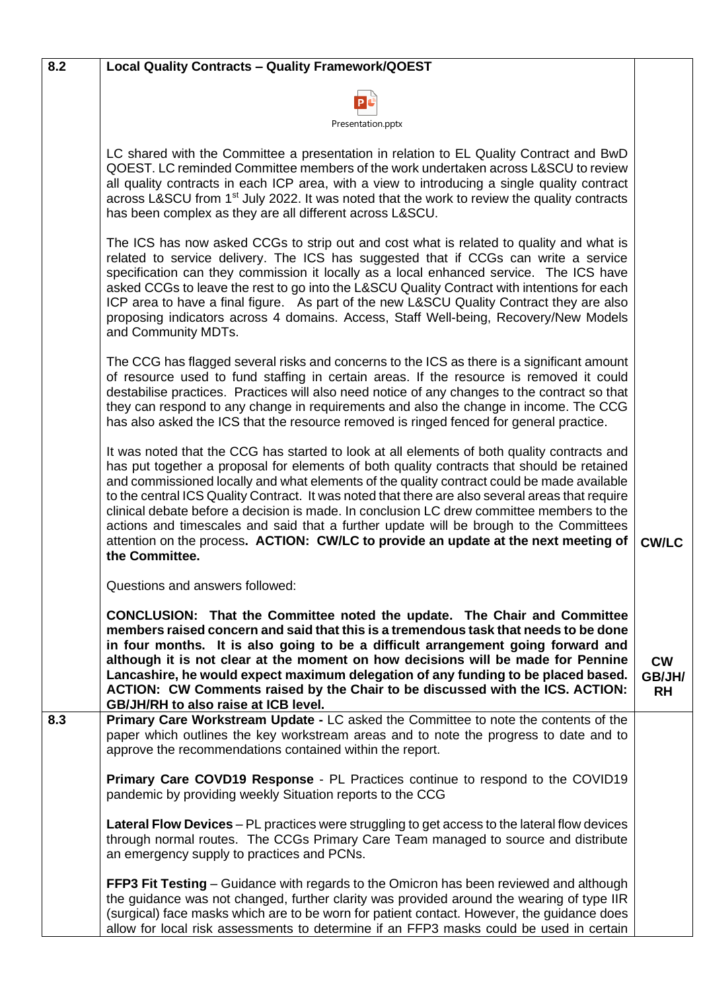| 8.2 | <b>Local Quality Contracts - Quality Framework/QOEST</b>                                                                                                                                                                                                                                                                                                                                                                                                                                                                                                                                                                                                                                    |                                  |
|-----|---------------------------------------------------------------------------------------------------------------------------------------------------------------------------------------------------------------------------------------------------------------------------------------------------------------------------------------------------------------------------------------------------------------------------------------------------------------------------------------------------------------------------------------------------------------------------------------------------------------------------------------------------------------------------------------------|----------------------------------|
|     |                                                                                                                                                                                                                                                                                                                                                                                                                                                                                                                                                                                                                                                                                             |                                  |
|     | Presentation.pptx                                                                                                                                                                                                                                                                                                                                                                                                                                                                                                                                                                                                                                                                           |                                  |
|     | LC shared with the Committee a presentation in relation to EL Quality Contract and BwD<br>QOEST. LC reminded Committee members of the work undertaken across L&SCU to review<br>all quality contracts in each ICP area, with a view to introducing a single quality contract<br>across L&SCU from 1 <sup>st</sup> July 2022. It was noted that the work to review the quality contracts<br>has been complex as they are all different across L&SCU.                                                                                                                                                                                                                                         |                                  |
|     | The ICS has now asked CCGs to strip out and cost what is related to quality and what is<br>related to service delivery. The ICS has suggested that if CCGs can write a service<br>specification can they commission it locally as a local enhanced service. The ICS have<br>asked CCGs to leave the rest to go into the L&SCU Quality Contract with intentions for each<br>ICP area to have a final figure. As part of the new L&SCU Quality Contract they are also<br>proposing indicators across 4 domains. Access, Staff Well-being, Recovery/New Models<br>and Community MDTs.                                                                                                          |                                  |
|     | The CCG has flagged several risks and concerns to the ICS as there is a significant amount<br>of resource used to fund staffing in certain areas. If the resource is removed it could<br>destabilise practices. Practices will also need notice of any changes to the contract so that<br>they can respond to any change in requirements and also the change in income. The CCG<br>has also asked the ICS that the resource removed is ringed fenced for general practice.                                                                                                                                                                                                                  |                                  |
|     | It was noted that the CCG has started to look at all elements of both quality contracts and<br>has put together a proposal for elements of both quality contracts that should be retained<br>and commissioned locally and what elements of the quality contract could be made available<br>to the central ICS Quality Contract. It was noted that there are also several areas that require<br>clinical debate before a decision is made. In conclusion LC drew committee members to the<br>actions and timescales and said that a further update will be brough to the Committees<br>attention on the process. ACTION: CW/LC to provide an update at the next meeting of<br>the Committee. | <b>CW/LC</b>                     |
|     | Questions and answers followed:                                                                                                                                                                                                                                                                                                                                                                                                                                                                                                                                                                                                                                                             |                                  |
|     | <b>CONCLUSION:</b> That the Committee noted the update. The Chair and Committee<br>members raised concern and said that this is a tremendous task that needs to be done<br>in four months. It is also going to be a difficult arrangement going forward and<br>although it is not clear at the moment on how decisions will be made for Pennine<br>Lancashire, he would expect maximum delegation of any funding to be placed based.<br>ACTION: CW Comments raised by the Chair to be discussed with the ICS. ACTION:<br>GB/JH/RH to also raise at ICB level.                                                                                                                               | <b>CW</b><br>GB/JH/<br><b>RH</b> |
| 8.3 | Primary Care Workstream Update - LC asked the Committee to note the contents of the<br>paper which outlines the key workstream areas and to note the progress to date and to<br>approve the recommendations contained within the report.                                                                                                                                                                                                                                                                                                                                                                                                                                                    |                                  |
|     | <b>Primary Care COVD19 Response - PL Practices continue to respond to the COVID19</b><br>pandemic by providing weekly Situation reports to the CCG                                                                                                                                                                                                                                                                                                                                                                                                                                                                                                                                          |                                  |
|     | Lateral Flow Devices - PL practices were struggling to get access to the lateral flow devices<br>through normal routes. The CCGs Primary Care Team managed to source and distribute<br>an emergency supply to practices and PCNs.                                                                                                                                                                                                                                                                                                                                                                                                                                                           |                                  |
|     | <b>FFP3 Fit Testing</b> – Guidance with regards to the Omicron has been reviewed and although<br>the guidance was not changed, further clarity was provided around the wearing of type IIR<br>(surgical) face masks which are to be worn for patient contact. However, the guidance does<br>allow for local risk assessments to determine if an FFP3 masks could be used in certain                                                                                                                                                                                                                                                                                                         |                                  |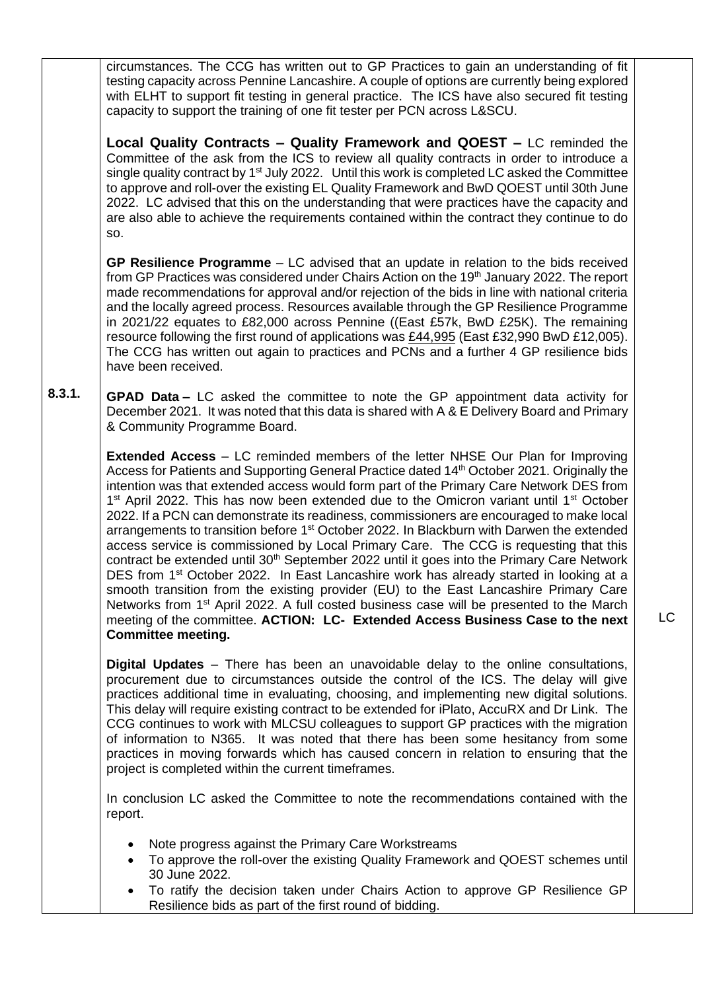circumstances. The CCG has written out to GP Practices to gain an understanding of fit testing capacity across Pennine Lancashire. A couple of options are currently being explored with ELHT to support fit testing in general practice. The ICS have also secured fit testing capacity to support the training of one fit tester per PCN across L&SCU.

**Local Quality Contracts – Quality Framework and QOEST –** LC reminded the Committee of the ask from the ICS to review all quality contracts in order to introduce a single quality contract by  $1<sup>st</sup>$  July 2022. Until this work is completed LC asked the Committee to approve and roll-over the existing EL Quality Framework and BwD QOEST until 30th June 2022. LC advised that this on the understanding that were practices have the capacity and are also able to achieve the requirements contained within the contract they continue to do so.

**GP Resilience Programme** – LC advised that an update in relation to the bids received from GP Practices was considered under Chairs Action on the 19<sup>th</sup> January 2022. The report made recommendations for approval and/or rejection of the bids in line with national criteria and the locally agreed process. Resources available through the GP Resilience Programme in 2021/22 equates to £82,000 across Pennine ((East £57k, BwD £25K). The remaining resource following the first round of applications was £44,995 (East £32,990 BwD £12,005). The CCG has written out again to practices and PCNs and a further 4 GP resilience bids have been received.

**8.3.1. GPAD Data –** LC asked the committee to note the GP appointment data activity for December 2021. It was noted that this data is shared with A & E Delivery Board and Primary & Community Programme Board.

> **Extended Access** – LC reminded members of the letter NHSE Our Plan for Improving Access for Patients and Supporting General Practice dated 14<sup>th</sup> October 2021. Originally the intention was that extended access would form part of the Primary Care Network DES from 1<sup>st</sup> April 2022. This has now been extended due to the Omicron variant until 1<sup>st</sup> October 2022. If a PCN can demonstrate its readiness, commissioners are encouraged to make local arrangements to transition before 1<sup>st</sup> October 2022. In Blackburn with Darwen the extended access service is commissioned by Local Primary Care. The CCG is requesting that this contract be extended until 30<sup>th</sup> September 2022 until it goes into the Primary Care Network DES from 1<sup>st</sup> October 2022. In East Lancashire work has already started in looking at a smooth transition from the existing provider (EU) to the East Lancashire Primary Care Networks from 1<sup>st</sup> April 2022. A full costed business case will be presented to the March meeting of the committee. **ACTION: LC- Extended Access Business Case to the next Committee meeting.**

> **Digital Updates** – There has been an unavoidable delay to the online consultations, procurement due to circumstances outside the control of the ICS. The delay will give practices additional time in evaluating, choosing, and implementing new digital solutions. This delay will require existing contract to be extended for iPlato, AccuRX and Dr Link. The CCG continues to work with MLCSU colleagues to support GP practices with the migration of information to N365. It was noted that there has been some hesitancy from some practices in moving forwards which has caused concern in relation to ensuring that the project is completed within the current timeframes.

> In conclusion LC asked the Committee to note the recommendations contained with the report.

- Note progress against the Primary Care Workstreams
- To approve the roll-over the existing Quality Framework and QOEST schemes until 30 June 2022.
- To ratify the decision taken under Chairs Action to approve GP Resilience GP Resilience bids as part of the first round of bidding.

LC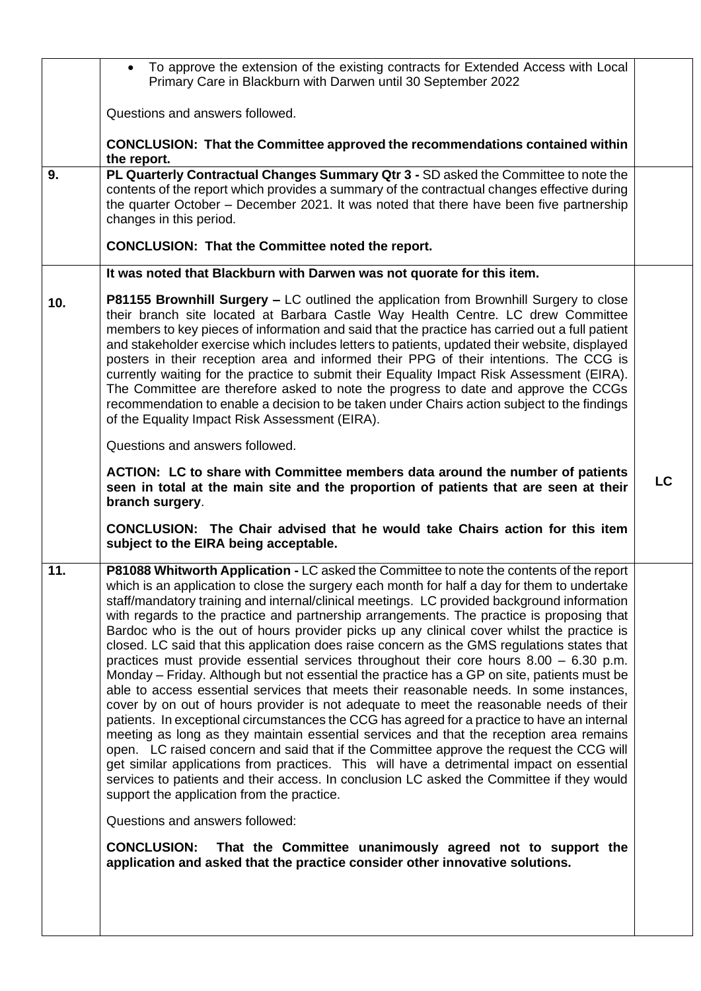|     | To approve the extension of the existing contracts for Extended Access with Local<br>$\bullet$<br>Primary Care in Blackburn with Darwen until 30 September 2022                                                                                                                                                                                                                                                                                                                                                                                                                                                                                                                                                                                                                                                                                                                                                                                                                                                                                                                                                                                                                                                                                                                                                                                                                                                                                                                                                                                                                                                                                                                                       |           |
|-----|-------------------------------------------------------------------------------------------------------------------------------------------------------------------------------------------------------------------------------------------------------------------------------------------------------------------------------------------------------------------------------------------------------------------------------------------------------------------------------------------------------------------------------------------------------------------------------------------------------------------------------------------------------------------------------------------------------------------------------------------------------------------------------------------------------------------------------------------------------------------------------------------------------------------------------------------------------------------------------------------------------------------------------------------------------------------------------------------------------------------------------------------------------------------------------------------------------------------------------------------------------------------------------------------------------------------------------------------------------------------------------------------------------------------------------------------------------------------------------------------------------------------------------------------------------------------------------------------------------------------------------------------------------------------------------------------------------|-----------|
|     | Questions and answers followed.                                                                                                                                                                                                                                                                                                                                                                                                                                                                                                                                                                                                                                                                                                                                                                                                                                                                                                                                                                                                                                                                                                                                                                                                                                                                                                                                                                                                                                                                                                                                                                                                                                                                       |           |
|     | <b>CONCLUSION: That the Committee approved the recommendations contained within</b><br>the report.                                                                                                                                                                                                                                                                                                                                                                                                                                                                                                                                                                                                                                                                                                                                                                                                                                                                                                                                                                                                                                                                                                                                                                                                                                                                                                                                                                                                                                                                                                                                                                                                    |           |
| 9.  | PL Quarterly Contractual Changes Summary Qtr 3 - SD asked the Committee to note the<br>contents of the report which provides a summary of the contractual changes effective during<br>the quarter October - December 2021. It was noted that there have been five partnership<br>changes in this period.<br><b>CONCLUSION: That the Committee noted the report.</b>                                                                                                                                                                                                                                                                                                                                                                                                                                                                                                                                                                                                                                                                                                                                                                                                                                                                                                                                                                                                                                                                                                                                                                                                                                                                                                                                   |           |
|     | It was noted that Blackburn with Darwen was not quorate for this item.                                                                                                                                                                                                                                                                                                                                                                                                                                                                                                                                                                                                                                                                                                                                                                                                                                                                                                                                                                                                                                                                                                                                                                                                                                                                                                                                                                                                                                                                                                                                                                                                                                |           |
| 10. | P81155 Brownhill Surgery - LC outlined the application from Brownhill Surgery to close<br>their branch site located at Barbara Castle Way Health Centre. LC drew Committee<br>members to key pieces of information and said that the practice has carried out a full patient<br>and stakeholder exercise which includes letters to patients, updated their website, displayed<br>posters in their reception area and informed their PPG of their intentions. The CCG is<br>currently waiting for the practice to submit their Equality Impact Risk Assessment (EIRA).<br>The Committee are therefore asked to note the progress to date and approve the CCGs<br>recommendation to enable a decision to be taken under Chairs action subject to the findings<br>of the Equality Impact Risk Assessment (EIRA).                                                                                                                                                                                                                                                                                                                                                                                                                                                                                                                                                                                                                                                                                                                                                                                                                                                                                         |           |
|     | Questions and answers followed.                                                                                                                                                                                                                                                                                                                                                                                                                                                                                                                                                                                                                                                                                                                                                                                                                                                                                                                                                                                                                                                                                                                                                                                                                                                                                                                                                                                                                                                                                                                                                                                                                                                                       |           |
|     | ACTION: LC to share with Committee members data around the number of patients<br>seen in total at the main site and the proportion of patients that are seen at their<br>branch surgery.                                                                                                                                                                                                                                                                                                                                                                                                                                                                                                                                                                                                                                                                                                                                                                                                                                                                                                                                                                                                                                                                                                                                                                                                                                                                                                                                                                                                                                                                                                              | <b>LC</b> |
|     | CONCLUSION: The Chair advised that he would take Chairs action for this item<br>subject to the EIRA being acceptable.                                                                                                                                                                                                                                                                                                                                                                                                                                                                                                                                                                                                                                                                                                                                                                                                                                                                                                                                                                                                                                                                                                                                                                                                                                                                                                                                                                                                                                                                                                                                                                                 |           |
| 11. | P81088 Whitworth Application - LC asked the Committee to note the contents of the report<br>which is an application to close the surgery each month for half a day for them to undertake<br>staff/mandatory training and internal/clinical meetings. LC provided background information<br>with regards to the practice and partnership arrangements. The practice is proposing that<br>Bardoc who is the out of hours provider picks up any clinical cover whilst the practice is<br>closed. LC said that this application does raise concern as the GMS regulations states that<br>practices must provide essential services throughout their core hours $8.00 - 6.30$ p.m.<br>Monday – Friday. Although but not essential the practice has a GP on site, patients must be<br>able to access essential services that meets their reasonable needs. In some instances,<br>cover by on out of hours provider is not adequate to meet the reasonable needs of their<br>patients. In exceptional circumstances the CCG has agreed for a practice to have an internal<br>meeting as long as they maintain essential services and that the reception area remains<br>open. LC raised concern and said that if the Committee approve the request the CCG will<br>get similar applications from practices. This will have a detrimental impact on essential<br>services to patients and their access. In conclusion LC asked the Committee if they would<br>support the application from the practice.<br>Questions and answers followed:<br><b>CONCLUSION:</b><br>That the Committee unanimously agreed not to support the<br>application and asked that the practice consider other innovative solutions. |           |
|     |                                                                                                                                                                                                                                                                                                                                                                                                                                                                                                                                                                                                                                                                                                                                                                                                                                                                                                                                                                                                                                                                                                                                                                                                                                                                                                                                                                                                                                                                                                                                                                                                                                                                                                       |           |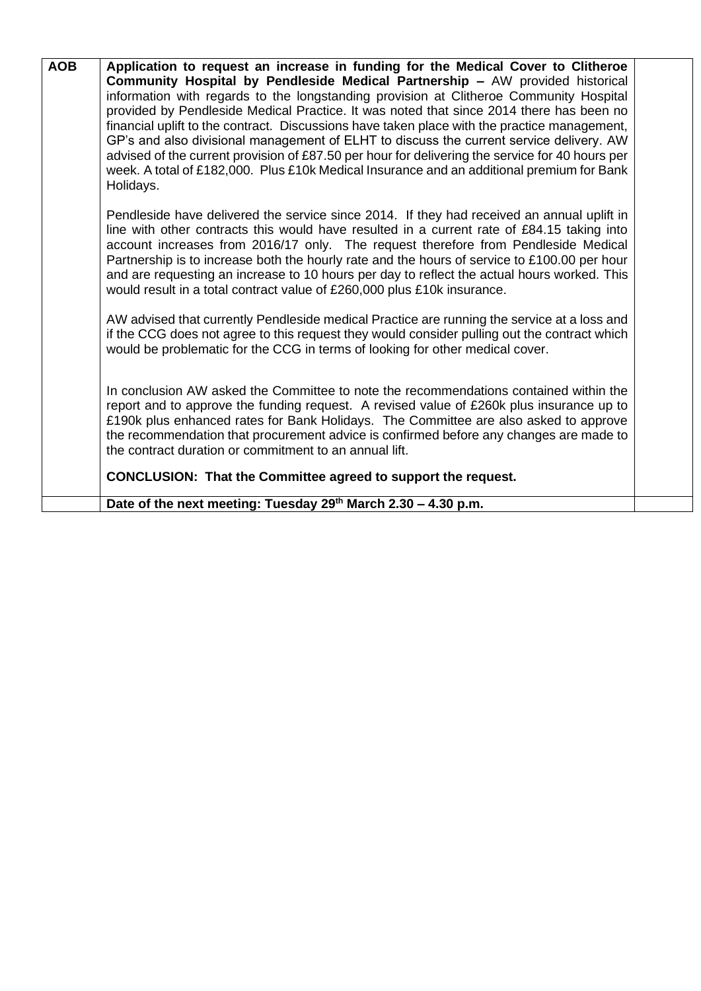| <b>AOB</b> | Application to request an increase in funding for the Medical Cover to Clitheroe                                                                                                        |  |
|------------|-----------------------------------------------------------------------------------------------------------------------------------------------------------------------------------------|--|
|            | Community Hospital by Pendleside Medical Partnership - AW provided historical                                                                                                           |  |
|            | information with regards to the longstanding provision at Clitheroe Community Hospital                                                                                                  |  |
|            | provided by Pendleside Medical Practice. It was noted that since 2014 there has been no                                                                                                 |  |
|            | financial uplift to the contract. Discussions have taken place with the practice management,<br>GP's and also divisional management of ELHT to discuss the current service delivery. AW |  |
|            | advised of the current provision of £87.50 per hour for delivering the service for 40 hours per                                                                                         |  |
|            | week. A total of £182,000. Plus £10k Medical Insurance and an additional premium for Bank                                                                                               |  |
|            | Holidays.                                                                                                                                                                               |  |
|            |                                                                                                                                                                                         |  |
|            | Pendleside have delivered the service since 2014. If they had received an annual uplift in                                                                                              |  |
|            | line with other contracts this would have resulted in a current rate of £84.15 taking into                                                                                              |  |
|            | account increases from 2016/17 only. The request therefore from Pendleside Medical                                                                                                      |  |
|            | Partnership is to increase both the hourly rate and the hours of service to £100.00 per hour                                                                                            |  |
|            | and are requesting an increase to 10 hours per day to reflect the actual hours worked. This                                                                                             |  |
|            | would result in a total contract value of £260,000 plus £10k insurance.                                                                                                                 |  |
|            | AW advised that currently Pendleside medical Practice are running the service at a loss and                                                                                             |  |
|            | if the CCG does not agree to this request they would consider pulling out the contract which                                                                                            |  |
|            | would be problematic for the CCG in terms of looking for other medical cover.                                                                                                           |  |
|            |                                                                                                                                                                                         |  |
|            | In conclusion AW asked the Committee to note the recommendations contained within the                                                                                                   |  |
|            | report and to approve the funding request. A revised value of £260k plus insurance up to                                                                                                |  |
|            | £190k plus enhanced rates for Bank Holidays. The Committee are also asked to approve                                                                                                    |  |
|            | the recommendation that procurement advice is confirmed before any changes are made to                                                                                                  |  |
|            | the contract duration or commitment to an annual lift.                                                                                                                                  |  |
|            | <b>CONCLUSION: That the Committee agreed to support the request.</b>                                                                                                                    |  |
|            |                                                                                                                                                                                         |  |
|            | Date of the next meeting: Tuesday $29th$ March 2.30 – 4.30 p.m.                                                                                                                         |  |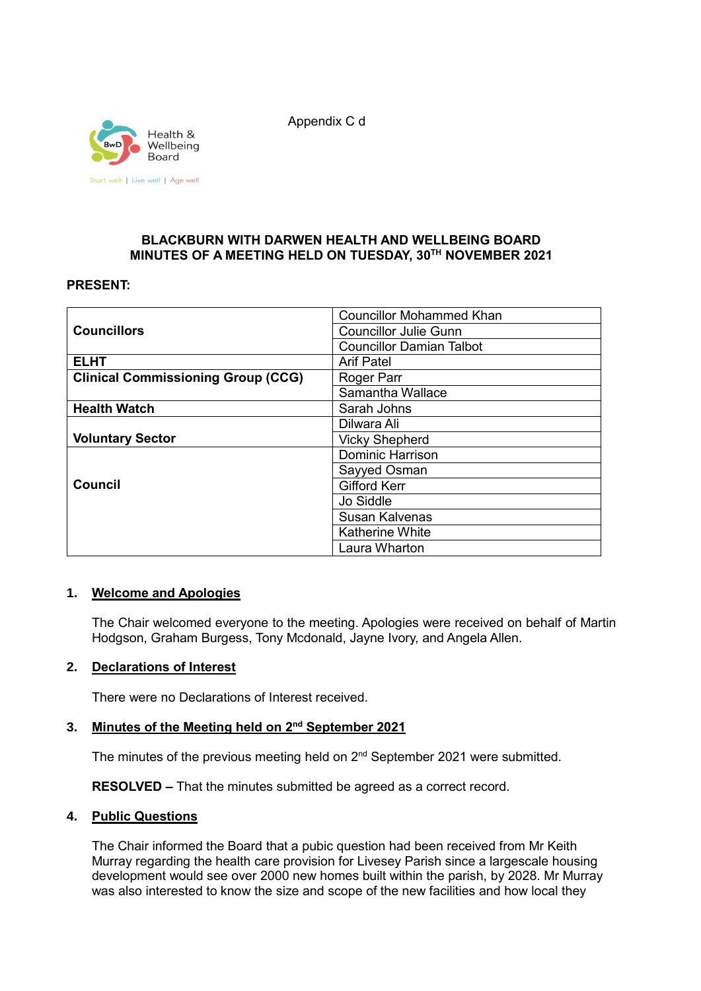Health & Wellbeing Board Start well | Live well | Age well Appendix C d

### **BLACKBURN WITH DARWEN HEALTH AND WELLBEING BOARD MINUTES OF A MEETING HELD ON TUESDAY, 30TH NOVEMBER 2021**

### **PRESENT:**

|                                           | <b>Councillor Mohammed Khan</b> |
|-------------------------------------------|---------------------------------|
| <b>Councillors</b>                        | <b>Councillor Julie Gunn</b>    |
|                                           | <b>Councillor Damian Talbot</b> |
| <b>ELHT</b>                               | <b>Arif Patel</b>               |
| <b>Clinical Commissioning Group (CCG)</b> | Roger Parr                      |
|                                           | Samantha Wallace                |
| <b>Health Watch</b>                       | Sarah Johns                     |
|                                           | Dilwara Ali                     |
| <b>Voluntary Sector</b>                   | <b>Vicky Shepherd</b>           |
|                                           | <b>Dominic Harrison</b>         |
|                                           | Sayyed Osman                    |
| <b>Council</b>                            | <b>Gifford Kerr</b>             |
|                                           | Jo Siddle                       |
|                                           | Susan Kalvenas                  |
|                                           | <b>Katherine White</b>          |
|                                           | Laura Wharton                   |

### **1. Welcome and Apologies**

The Chair welcomed everyone to the meeting. Apologies were received on behalf of Martin Hodgson, Graham Burgess, Tony Mcdonald, Jayne Ivory, and Angela Allen.

### **2. Declarations of Interest**

There were no Declarations of Interest received.

## **3. Minutes of the Meeting held on 2nd September 2021**

The minutes of the previous meeting held on 2<sup>nd</sup> September 2021 were submitted.

**RESOLVED –** That the minutes submitted be agreed as a correct record.

### **4. Public Questions**

The Chair informed the Board that a pubic question had been received from Mr Keith Murray regarding the health care provision for Livesey Parish since a largescale housing development would see over 2000 new homes built within the parish, by 2028. Mr Murray was also interested to know the size and scope of the new facilities and how local they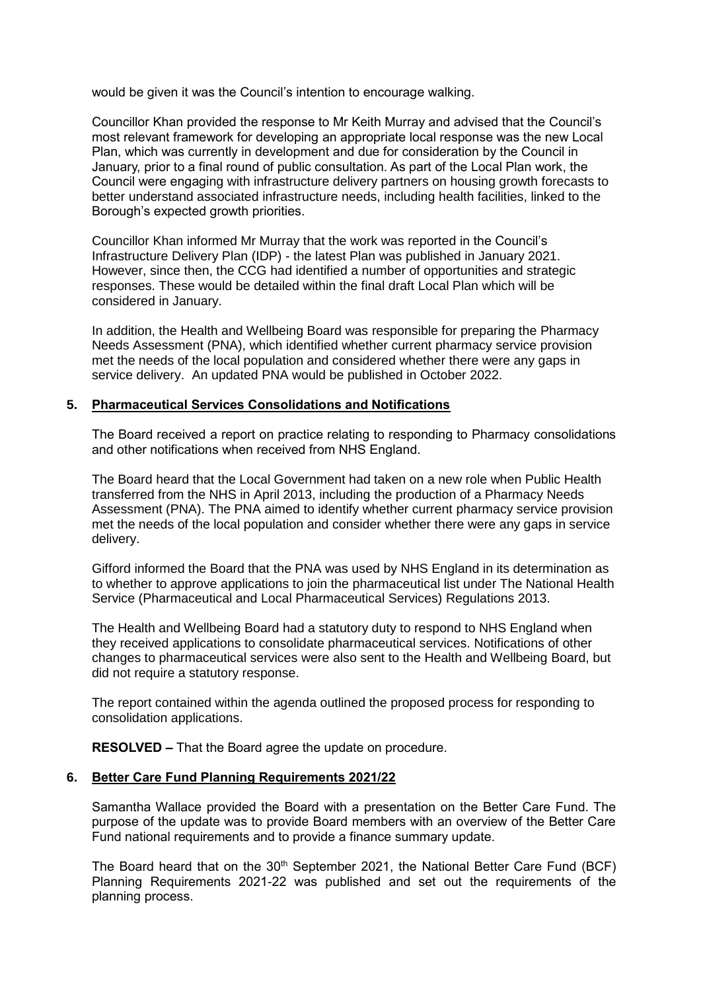would be given it was the Council's intention to encourage walking.

Councillor Khan provided the response to Mr Keith Murray and advised that the Council's most relevant framework for developing an appropriate local response was the new Local Plan, which was currently in development and due for consideration by the Council in January, prior to a final round of public consultation. As part of the Local Plan work, the Council were engaging with infrastructure delivery partners on housing growth forecasts to better understand associated infrastructure needs, including health facilities, linked to the Borough's expected growth priorities.

Councillor Khan informed Mr Murray that the work was reported in the Council's Infrastructure Delivery Plan (IDP) - the latest Plan was published in January 2021. However, since then, the CCG had identified a number of opportunities and strategic responses. These would be detailed within the final draft Local Plan which will be considered in January.

In addition, the Health and Wellbeing Board was responsible for preparing the Pharmacy Needs Assessment (PNA), which identified whether current pharmacy service provision met the needs of the local population and considered whether there were any gaps in service delivery. An updated PNA would be published in October 2022.

### **5. Pharmaceutical Services Consolidations and Notifications**

The Board received a report on practice relating to responding to Pharmacy consolidations and other notifications when received from NHS England.

The Board heard that the Local Government had taken on a new role when Public Health transferred from the NHS in April 2013, including the production of a Pharmacy Needs Assessment (PNA). The PNA aimed to identify whether current pharmacy service provision met the needs of the local population and consider whether there were any gaps in service delivery.

Gifford informed the Board that the PNA was used by NHS England in its determination as to whether to approve applications to join the pharmaceutical list under The National Health Service (Pharmaceutical and Local Pharmaceutical Services) Regulations 2013.

The Health and Wellbeing Board had a statutory duty to respond to NHS England when they received applications to consolidate pharmaceutical services. Notifications of other changes to pharmaceutical services were also sent to the Health and Wellbeing Board, but did not require a statutory response.

The report contained within the agenda outlined the proposed process for responding to consolidation applications.

**RESOLVED –** That the Board agree the update on procedure.

### **6. Better Care Fund Planning Requirements 2021/22**

Samantha Wallace provided the Board with a presentation on the Better Care Fund. The purpose of the update was to provide Board members with an overview of the Better Care Fund national requirements and to provide a finance summary update.

The Board heard that on the  $30<sup>th</sup>$  September 2021, the National Better Care Fund (BCF) Planning Requirements 2021-22 was published and set out the requirements of the planning process.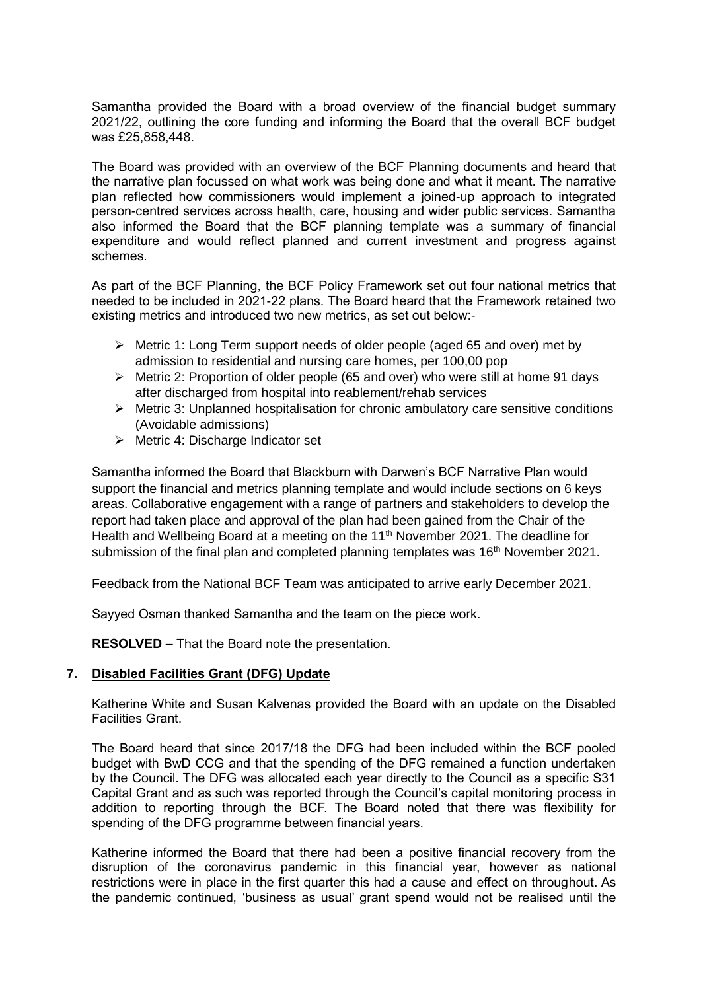Samantha provided the Board with a broad overview of the financial budget summary 2021/22, outlining the core funding and informing the Board that the overall BCF budget was £25,858,448.

The Board was provided with an overview of the BCF Planning documents and heard that the narrative plan focussed on what work was being done and what it meant. The narrative plan reflected how commissioners would implement a joined-up approach to integrated person-centred services across health, care, housing and wider public services. Samantha also informed the Board that the BCF planning template was a summary of financial expenditure and would reflect planned and current investment and progress against schemes.

As part of the BCF Planning, the BCF Policy Framework set out four national metrics that needed to be included in 2021-22 plans. The Board heard that the Framework retained two existing metrics and introduced two new metrics, as set out below:-

- $\triangleright$  Metric 1: Long Term support needs of older people (aged 65 and over) met by admission to residential and nursing care homes, per 100,00 pop
- Metric 2: Proportion of older people (65 and over) who were still at home 91 days after discharged from hospital into reablement/rehab services
- $\triangleright$  Metric 3: Unplanned hospitalisation for chronic ambulatory care sensitive conditions (Avoidable admissions)
- $\triangleright$  Metric 4: Discharge Indicator set

Samantha informed the Board that Blackburn with Darwen's BCF Narrative Plan would support the financial and metrics planning template and would include sections on 6 keys areas. Collaborative engagement with a range of partners and stakeholders to develop the report had taken place and approval of the plan had been gained from the Chair of the Health and Wellbeing Board at a meeting on the 11<sup>th</sup> November 2021. The deadline for submission of the final plan and completed planning templates was 16<sup>th</sup> November 2021.

Feedback from the National BCF Team was anticipated to arrive early December 2021.

Sayyed Osman thanked Samantha and the team on the piece work.

**RESOLVED –** That the Board note the presentation.

### **7. Disabled Facilities Grant (DFG) Update**

Katherine White and Susan Kalvenas provided the Board with an update on the Disabled Facilities Grant.

The Board heard that since 2017/18 the DFG had been included within the BCF pooled budget with BwD CCG and that the spending of the DFG remained a function undertaken by the Council. The DFG was allocated each year directly to the Council as a specific S31 Capital Grant and as such was reported through the Council's capital monitoring process in addition to reporting through the BCF. The Board noted that there was flexibility for spending of the DFG programme between financial years.

Katherine informed the Board that there had been a positive financial recovery from the disruption of the coronavirus pandemic in this financial year, however as national restrictions were in place in the first quarter this had a cause and effect on throughout. As the pandemic continued, 'business as usual' grant spend would not be realised until the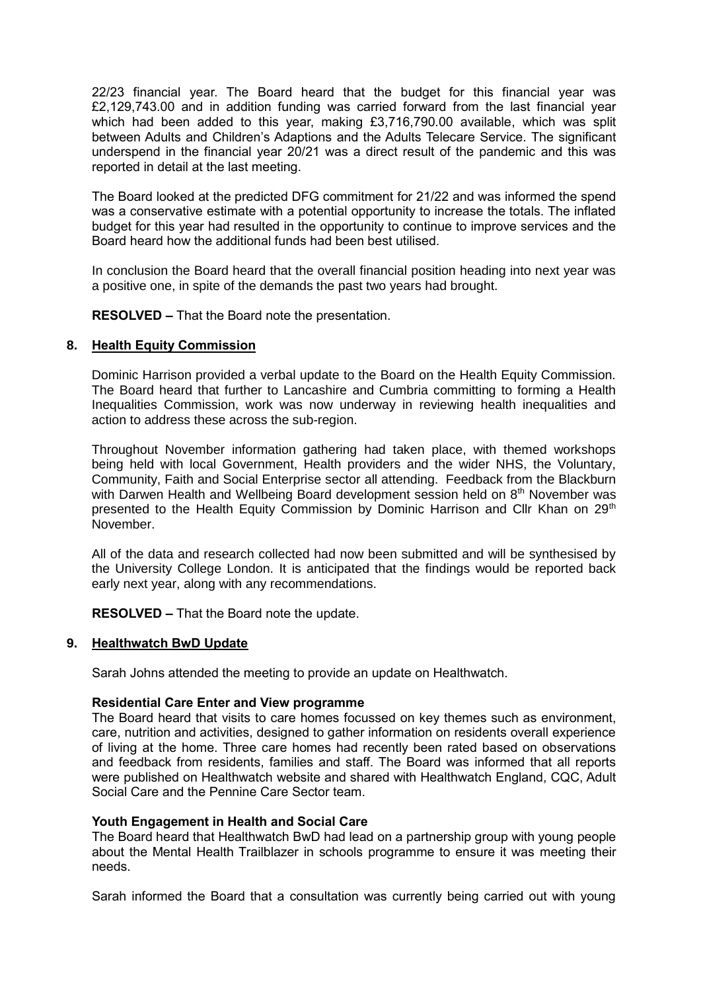22/23 financial year. The Board heard that the budget for this financial year was £2,129,743.00 and in addition funding was carried forward from the last financial year which had been added to this year, making £3,716,790.00 available, which was split between Adults and Children's Adaptions and the Adults Telecare Service. The significant underspend in the financial year 20/21 was a direct result of the pandemic and this was reported in detail at the last meeting.

The Board looked at the predicted DFG commitment for 21/22 and was informed the spend was a conservative estimate with a potential opportunity to increase the totals. The inflated budget for this year had resulted in the opportunity to continue to improve services and the Board heard how the additional funds had been best utilised.

In conclusion the Board heard that the overall financial position heading into next year was a positive one, in spite of the demands the past two years had brought.

**RESOLVED –** That the Board note the presentation.

### **8. Health Equity Commission**

Dominic Harrison provided a verbal update to the Board on the Health Equity Commission. The Board heard that further to Lancashire and Cumbria committing to forming a Health Inequalities Commission, work was now underway in reviewing health inequalities and action to address these across the sub-region.

Throughout November information gathering had taken place, with themed workshops being held with local Government, Health providers and the wider NHS, the Voluntary, Community, Faith and Social Enterprise sector all attending. Feedback from the Blackburn with Darwen Health and Wellbeing Board development session held on 8<sup>th</sup> November was presented to the Health Equity Commission by Dominic Harrison and Cllr Khan on 29<sup>th</sup> November.

All of the data and research collected had now been submitted and will be synthesised by the University College London. It is anticipated that the findings would be reported back early next year, along with any recommendations.

**RESOLVED –** That the Board note the update.

#### **9. Healthwatch BwD Update**

Sarah Johns attended the meeting to provide an update on Healthwatch.

#### **Residential Care Enter and View programme**

The Board heard that visits to care homes focussed on key themes such as environment, care, nutrition and activities, designed to gather information on residents overall experience of living at the home. Three care homes had recently been rated based on observations and feedback from residents, families and staff. The Board was informed that all reports were published on Healthwatch website and shared with Healthwatch England, CQC, Adult Social Care and the Pennine Care Sector team.

#### **Youth Engagement in Health and Social Care**

The Board heard that Healthwatch BwD had lead on a partnership group with young people about the Mental Health Trailblazer in schools programme to ensure it was meeting their needs.

Sarah informed the Board that a consultation was currently being carried out with young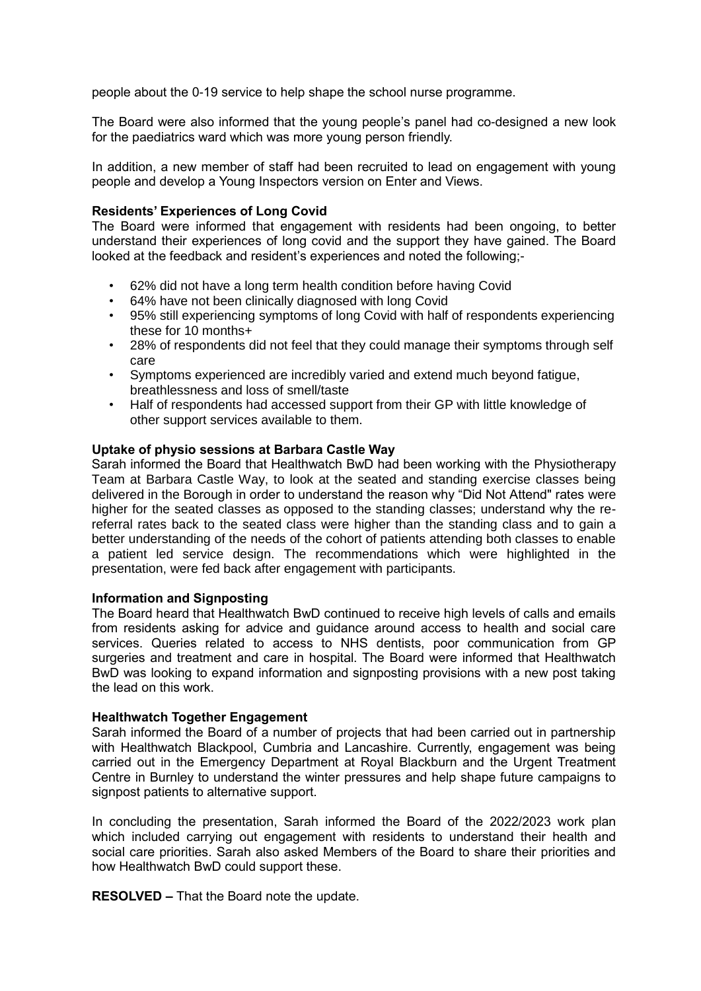people about the 0-19 service to help shape the school nurse programme.

The Board were also informed that the young people's panel had co-designed a new look for the paediatrics ward which was more young person friendly.

In addition, a new member of staff had been recruited to lead on engagement with young people and develop a Young Inspectors version on Enter and Views.

#### **Residents' Experiences of Long Covid**

The Board were informed that engagement with residents had been ongoing, to better understand their experiences of long covid and the support they have gained. The Board looked at the feedback and resident's experiences and noted the following;-

- 62% did not have a long term health condition before having Covid
- 64% have not been clinically diagnosed with long Covid
- 95% still experiencing symptoms of long Covid with half of respondents experiencing these for 10 months+
- 28% of respondents did not feel that they could manage their symptoms through self care
- Symptoms experienced are incredibly varied and extend much beyond fatigue, breathlessness and loss of smell/taste
- Half of respondents had accessed support from their GP with little knowledge of other support services available to them.

#### **Uptake of physio sessions at Barbara Castle Way**

Sarah informed the Board that Healthwatch BwD had been working with the Physiotherapy Team at Barbara Castle Way, to look at the seated and standing exercise classes being delivered in the Borough in order to understand the reason why "Did Not Attend" rates were higher for the seated classes as opposed to the standing classes; understand why the rereferral rates back to the seated class were higher than the standing class and to gain a better understanding of the needs of the cohort of patients attending both classes to enable a patient led service design. The recommendations which were highlighted in the presentation, were fed back after engagement with participants.

#### **Information and Signposting**

The Board heard that Healthwatch BwD continued to receive high levels of calls and emails from residents asking for advice and guidance around access to health and social care services. Queries related to access to NHS dentists, poor communication from GP surgeries and treatment and care in hospital. The Board were informed that Healthwatch BwD was looking to expand information and signposting provisions with a new post taking the lead on this work.

#### **Healthwatch Together Engagement**

Sarah informed the Board of a number of projects that had been carried out in partnership with Healthwatch Blackpool, Cumbria and Lancashire. Currently, engagement was being carried out in the Emergency Department at Royal Blackburn and the Urgent Treatment Centre in Burnley to understand the winter pressures and help shape future campaigns to signpost patients to alternative support.

In concluding the presentation, Sarah informed the Board of the 2022/2023 work plan which included carrying out engagement with residents to understand their health and social care priorities. Sarah also asked Members of the Board to share their priorities and how Healthwatch BwD could support these.

**RESOLVED –** That the Board note the update.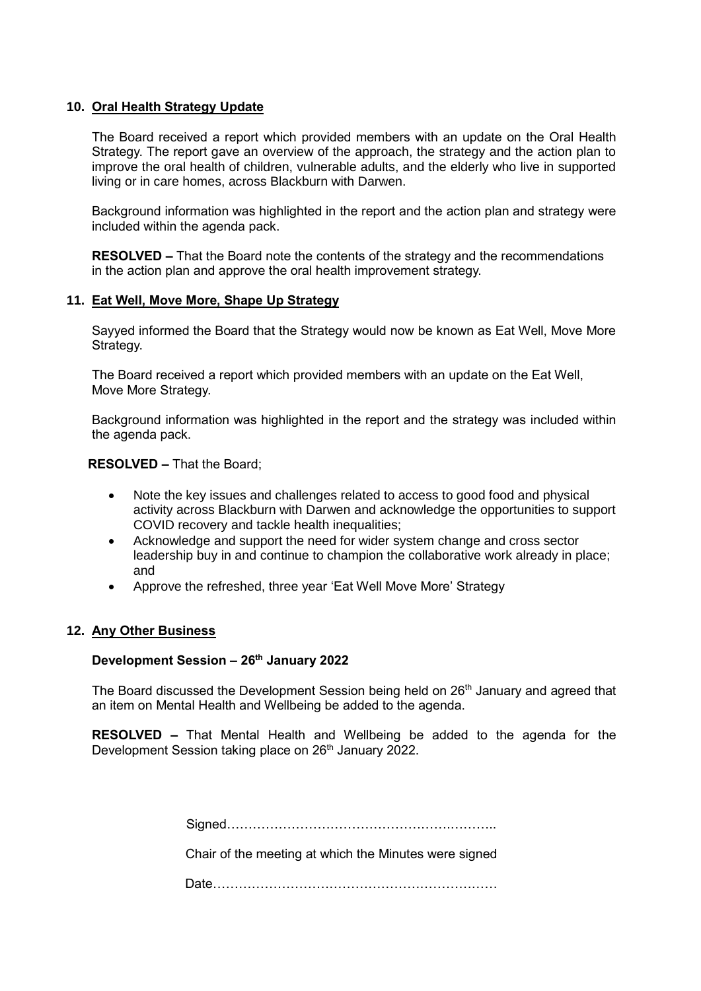### **10. Oral Health Strategy Update**

The Board received a report which provided members with an update on the Oral Health Strategy. The report gave an overview of the approach, the strategy and the action plan to improve the oral health of children, vulnerable adults, and the elderly who live in supported living or in care homes, across Blackburn with Darwen.

Background information was highlighted in the report and the action plan and strategy were included within the agenda pack.

**RESOLVED –** That the Board note the contents of the strategy and the recommendations in the action plan and approve the oral health improvement strategy.

### **11. Eat Well, Move More, Shape Up Strategy**

Sayyed informed the Board that the Strategy would now be known as Eat Well, Move More Strategy.

The Board received a report which provided members with an update on the Eat Well, Move More Strategy.

Background information was highlighted in the report and the strategy was included within the agenda pack.

**RESOLVED –** That the Board;

- Note the key issues and challenges related to access to good food and physical activity across Blackburn with Darwen and acknowledge the opportunities to support COVID recovery and tackle health inequalities;
- Acknowledge and support the need for wider system change and cross sector leadership buy in and continue to champion the collaborative work already in place; and
- Approve the refreshed, three year 'Eat Well Move More' Strategy

### **12. Any Other Business**

### **Development Session – 26th January 2022**

The Board discussed the Development Session being held on 26<sup>th</sup> January and agreed that an item on Mental Health and Wellbeing be added to the agenda.

**RESOLVED –** That Mental Health and Wellbeing be added to the agenda for the Development Session taking place on 26<sup>th</sup> January 2022.

> Signed…………………………………………….……….. Chair of the meeting at which the Minutes were signed

> Date…………………………………………………………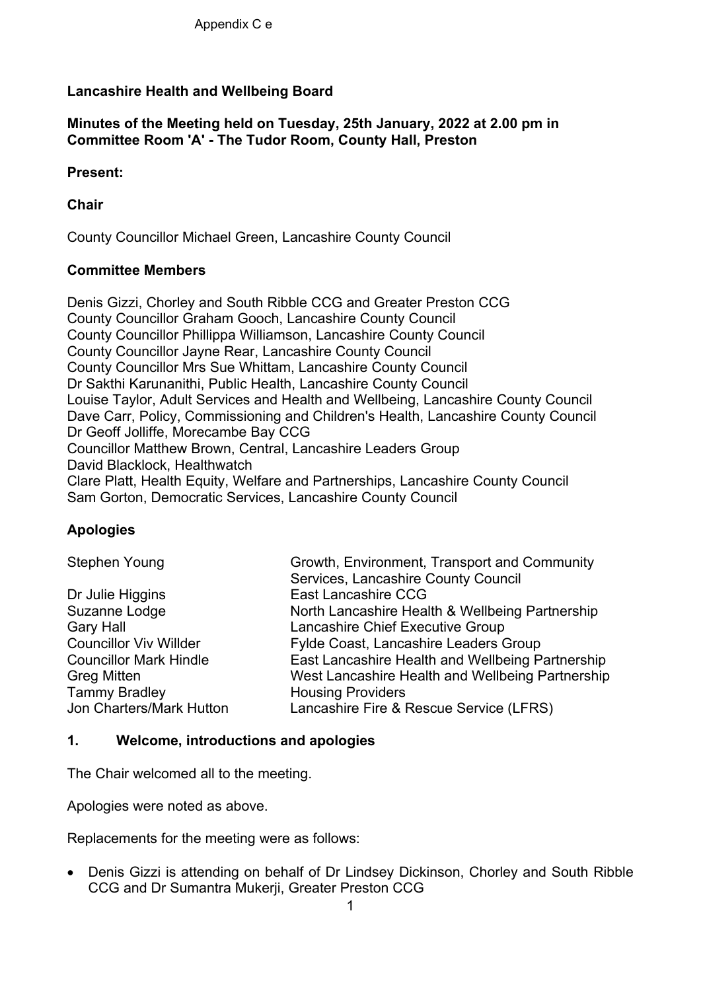# **Lancashire Health and Wellbeing Board**

# **Minutes of the Meeting held on Tuesday, 25th January, 2022 at 2.00 pm in Committee Room 'A' - The Tudor Room, County Hall, Preston**

# **Present:**

# **Chair**

County Councillor Michael Green, Lancashire County Council

# **Committee Members**

Denis Gizzi, Chorley and South Ribble CCG and Greater Preston CCG County Councillor Graham Gooch, Lancashire County Council County Councillor Phillippa Williamson, Lancashire County Council County Councillor Jayne Rear, Lancashire County Council County Councillor Mrs Sue Whittam, Lancashire County Council Dr Sakthi Karunanithi, Public Health, Lancashire County Council Louise Taylor, Adult Services and Health and Wellbeing, Lancashire County Council Dave Carr, Policy, Commissioning and Children's Health, Lancashire County Council Dr Geoff Jolliffe, Morecambe Bay CCG Councillor Matthew Brown, Central, Lancashire Leaders Group David Blacklock, Healthwatch Clare Platt, Health Equity, Welfare and Partnerships, Lancashire County Council Sam Gorton, Democratic Services, Lancashire County Council

# **Apologies**

| <b>Stephen Young</b>          | Growth, Environment, Transport and Community     |
|-------------------------------|--------------------------------------------------|
|                               | Services, Lancashire County Council              |
| Dr Julie Higgins              | <b>East Lancashire CCG</b>                       |
| Suzanne Lodge                 | North Lancashire Health & Wellbeing Partnership  |
| <b>Gary Hall</b>              | Lancashire Chief Executive Group                 |
| <b>Councillor Viv Willder</b> | Fylde Coast, Lancashire Leaders Group            |
| <b>Councillor Mark Hindle</b> | East Lancashire Health and Wellbeing Partnership |
| <b>Greg Mitten</b>            | West Lancashire Health and Wellbeing Partnership |
| <b>Tammy Bradley</b>          | <b>Housing Providers</b>                         |
| Jon Charters/Mark Hutton      | Lancashire Fire & Rescue Service (LFRS)          |

# **1. Welcome, introductions and apologies**

The Chair welcomed all to the meeting.

Apologies were noted as above.

Replacements for the meeting were as follows:

• Denis Gizzi is attending on behalf of Dr Lindsey Dickinson, Chorley and South Ribble CCG and Dr Sumantra Mukerji, Greater Preston CCG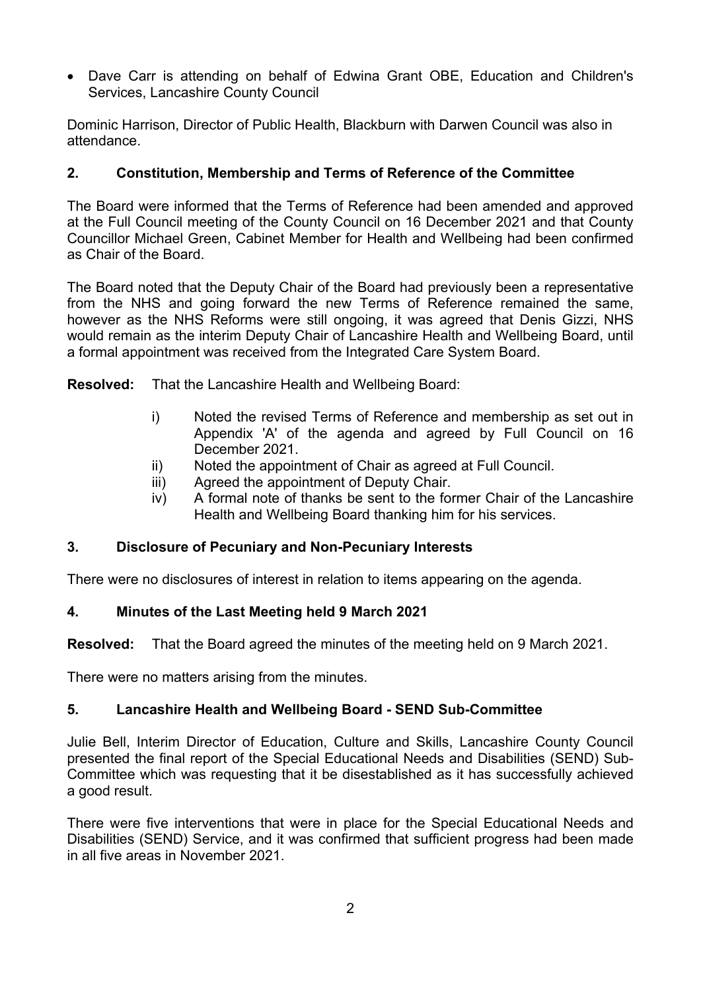Dave Carr is attending on behalf of Edwina Grant OBE, Education and Children's Services, Lancashire County Council

Dominic Harrison, Director of Public Health, Blackburn with Darwen Council was also in attendance.

# **2. Constitution, Membership and Terms of Reference of the Committee**

The Board were informed that the Terms of Reference had been amended and approved at the Full Council meeting of the County Council on 16 December 2021 and that County Councillor Michael Green, Cabinet Member for Health and Wellbeing had been confirmed as Chair of the Board.

The Board noted that the Deputy Chair of the Board had previously been a representative from the NHS and going forward the new Terms of Reference remained the same, however as the NHS Reforms were still ongoing, it was agreed that Denis Gizzi, NHS would remain as the interim Deputy Chair of Lancashire Health and Wellbeing Board, until a formal appointment was received from the Integrated Care System Board.

**Resolved:** That the Lancashire Health and Wellbeing Board:

- i) Noted the revised Terms of Reference and membership as set out in Appendix 'A' of the agenda and agreed by Full Council on 16 December 2021.
- ii) Noted the appointment of Chair as agreed at Full Council.
- iii) Agreed the appointment of Deputy Chair.
- iv) A formal note of thanks be sent to the former Chair of the Lancashire Health and Wellbeing Board thanking him for his services.

# **3. Disclosure of Pecuniary and Non-Pecuniary Interests**

There were no disclosures of interest in relation to items appearing on the agenda.

# **4. Minutes of the Last Meeting held 9 March 2021**

**Resolved:** That the Board agreed the minutes of the meeting held on 9 March 2021.

There were no matters arising from the minutes.

# **5. Lancashire Health and Wellbeing Board - SEND Sub-Committee**

Julie Bell, Interim Director of Education, Culture and Skills, Lancashire County Council presented the final report of the Special Educational Needs and Disabilities (SEND) Sub-Committee which was requesting that it be disestablished as it has successfully achieved a good result.

There were five interventions that were in place for the Special Educational Needs and Disabilities (SEND) Service, and it was confirmed that sufficient progress had been made in all five areas in November 2021.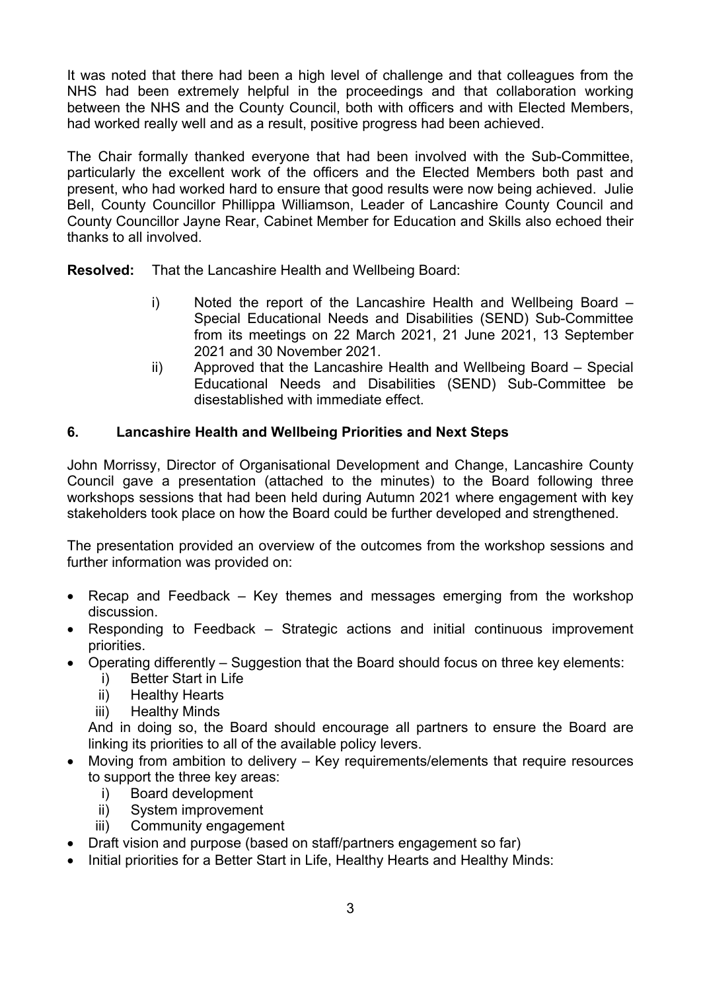It was noted that there had been a high level of challenge and that colleagues from the NHS had been extremely helpful in the proceedings and that collaboration working between the NHS and the County Council, both with officers and with Elected Members, had worked really well and as a result, positive progress had been achieved.

The Chair formally thanked everyone that had been involved with the Sub-Committee, particularly the excellent work of the officers and the Elected Members both past and present, who had worked hard to ensure that good results were now being achieved. Julie Bell, County Councillor Phillippa Williamson, Leader of Lancashire County Council and County Councillor Jayne Rear, Cabinet Member for Education and Skills also echoed their thanks to all involved.

**Resolved:** That the Lancashire Health and Wellbeing Board:

- i) Noted the report of the Lancashire Health and Wellbeing Board Special Educational Needs and Disabilities (SEND) Sub-Committee from its meetings on 22 March 2021, 21 June 2021, 13 September 2021 and 30 November 2021.
- ii) Approved that the Lancashire Health and Wellbeing Board Special Educational Needs and Disabilities (SEND) Sub-Committee be disestablished with immediate effect.

# **6. Lancashire Health and Wellbeing Priorities and Next Steps**

John Morrissy, Director of Organisational Development and Change, Lancashire County Council gave a presentation (attached to the minutes) to the Board following three workshops sessions that had been held during Autumn 2021 where engagement with key stakeholders took place on how the Board could be further developed and strengthened.

The presentation provided an overview of the outcomes from the workshop sessions and further information was provided on:

- Recap and Feedback Key themes and messages emerging from the workshop discussion.
- Responding to Feedback Strategic actions and initial continuous improvement priorities.
- Operating differently Suggestion that the Board should focus on three key elements:
	- i) Better Start in Life
	- ii) Healthy Hearts
	- iii) Healthy Minds

And in doing so, the Board should encourage all partners to ensure the Board are linking its priorities to all of the available policy levers.

- Moving from ambition to delivery Key requirements/elements that require resources to support the three key areas:
	- i) Board development
	- ii) System improvement
	- iii) Community engagement
- Draft vision and purpose (based on staff/partners engagement so far)
- Initial priorities for a Better Start in Life, Healthy Hearts and Healthy Minds: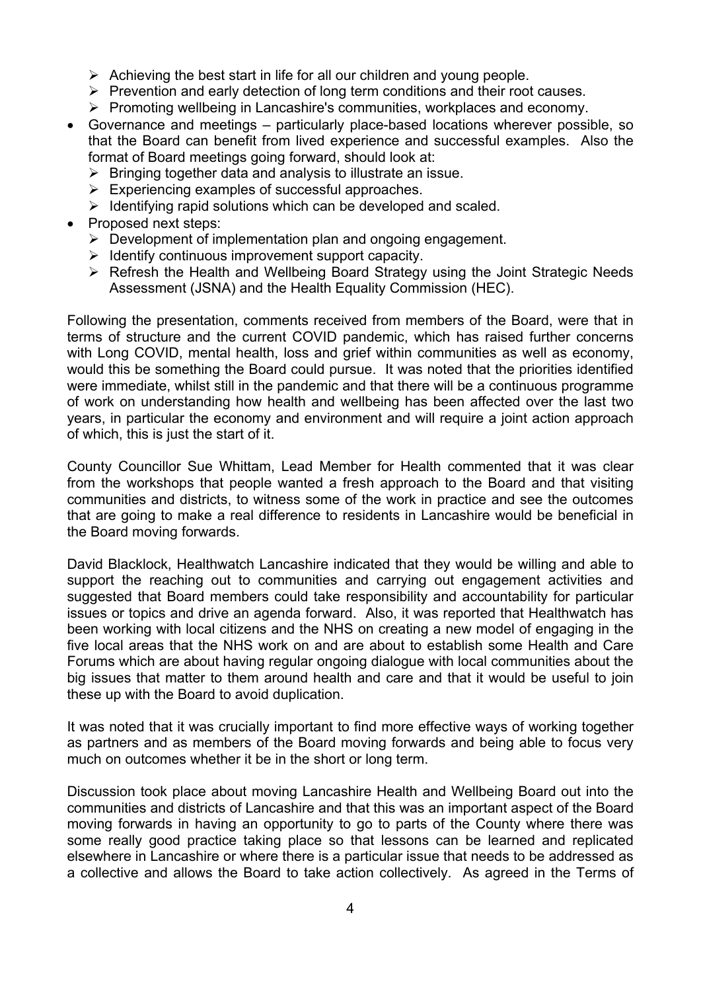- $\triangleright$  Achieving the best start in life for all our children and young people.
- $\triangleright$  Prevention and early detection of long term conditions and their root causes.
- $\triangleright$  Promoting wellbeing in Lancashire's communities, workplaces and economy.
- Governance and meetings particularly place-based locations wherever possible, so that the Board can benefit from lived experience and successful examples. Also the format of Board meetings going forward, should look at:
	- $\triangleright$  Bringing together data and analysis to illustrate an issue.
	- $\triangleright$  Experiencing examples of successful approaches.
	- $\triangleright$  Identifying rapid solutions which can be developed and scaled.
- Proposed next steps:
	- $\triangleright$  Development of implementation plan and ongoing engagement.
	- $\triangleright$  Identify continuous improvement support capacity.
	- $\triangleright$  Refresh the Health and Wellbeing Board Strategy using the Joint Strategic Needs Assessment (JSNA) and the Health Equality Commission (HEC).

Following the presentation, comments received from members of the Board, were that in terms of structure and the current COVID pandemic, which has raised further concerns with Long COVID, mental health, loss and grief within communities as well as economy, would this be something the Board could pursue. It was noted that the priorities identified were immediate, whilst still in the pandemic and that there will be a continuous programme of work on understanding how health and wellbeing has been affected over the last two years, in particular the economy and environment and will require a joint action approach of which, this is just the start of it.

County Councillor Sue Whittam, Lead Member for Health commented that it was clear from the workshops that people wanted a fresh approach to the Board and that visiting communities and districts, to witness some of the work in practice and see the outcomes that are going to make a real difference to residents in Lancashire would be beneficial in the Board moving forwards.

David Blacklock, Healthwatch Lancashire indicated that they would be willing and able to support the reaching out to communities and carrying out engagement activities and suggested that Board members could take responsibility and accountability for particular issues or topics and drive an agenda forward. Also, it was reported that Healthwatch has been working with local citizens and the NHS on creating a new model of engaging in the five local areas that the NHS work on and are about to establish some Health and Care Forums which are about having regular ongoing dialogue with local communities about the big issues that matter to them around health and care and that it would be useful to join these up with the Board to avoid duplication.

It was noted that it was crucially important to find more effective ways of working together as partners and as members of the Board moving forwards and being able to focus very much on outcomes whether it be in the short or long term.

Discussion took place about moving Lancashire Health and Wellbeing Board out into the communities and districts of Lancashire and that this was an important aspect of the Board moving forwards in having an opportunity to go to parts of the County where there was some really good practice taking place so that lessons can be learned and replicated elsewhere in Lancashire or where there is a particular issue that needs to be addressed as a collective and allows the Board to take action collectively. As agreed in the Terms of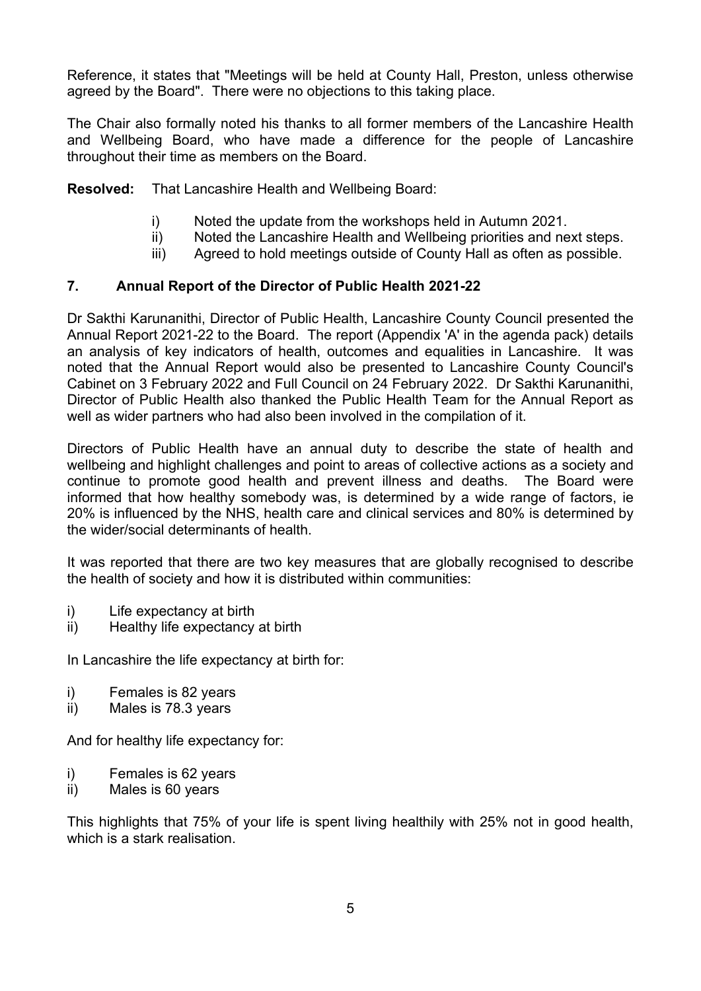Reference, it states that "Meetings will be held at County Hall, Preston, unless otherwise agreed by the Board". There were no objections to this taking place.

The Chair also formally noted his thanks to all former members of the Lancashire Health and Wellbeing Board, who have made a difference for the people of Lancashire throughout their time as members on the Board.

**Resolved:** That Lancashire Health and Wellbeing Board:

- i) Noted the update from the workshops held in Autumn 2021.
- ii) Noted the Lancashire Health and Wellbeing priorities and next steps.
- iii) Agreed to hold meetings outside of County Hall as often as possible.

# **7. Annual Report of the Director of Public Health 2021-22**

Dr Sakthi Karunanithi, Director of Public Health, Lancashire County Council presented the Annual Report 2021-22 to the Board. The report (Appendix 'A' in the agenda pack) details an analysis of key indicators of health, outcomes and equalities in Lancashire. It was noted that the Annual Report would also be presented to Lancashire County Council's Cabinet on 3 February 2022 and Full Council on 24 February 2022. Dr Sakthi Karunanithi, Director of Public Health also thanked the Public Health Team for the Annual Report as well as wider partners who had also been involved in the compilation of it.

Directors of Public Health have an annual duty to describe the state of health and wellbeing and highlight challenges and point to areas of collective actions as a society and continue to promote good health and prevent illness and deaths. The Board were informed that how healthy somebody was, is determined by a wide range of factors, ie 20% is influenced by the NHS, health care and clinical services and 80% is determined by the wider/social determinants of health.

It was reported that there are two key measures that are globally recognised to describe the health of society and how it is distributed within communities:

- i) Life expectancy at birth
- ii) Healthy life expectancy at birth

In Lancashire the life expectancy at birth for:

- i) Females is 82 years
- ii) Males is 78.3 years

And for healthy life expectancy for:

- i) Females is 62 years
- ii) Males is 60 years

This highlights that 75% of your life is spent living healthily with 25% not in good health, which is a stark realisation.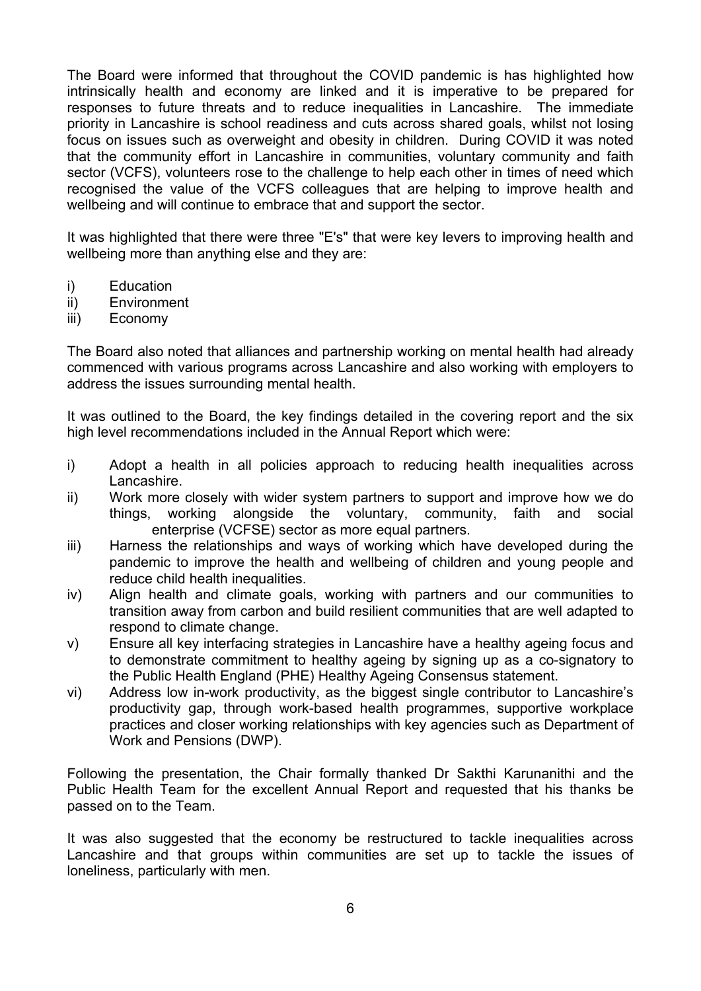The Board were informed that throughout the COVID pandemic is has highlighted how intrinsically health and economy are linked and it is imperative to be prepared for responses to future threats and to reduce inequalities in Lancashire. The immediate priority in Lancashire is school readiness and cuts across shared goals, whilst not losing focus on issues such as overweight and obesity in children. During COVID it was noted that the community effort in Lancashire in communities, voluntary community and faith sector (VCFS), volunteers rose to the challenge to help each other in times of need which recognised the value of the VCFS colleagues that are helping to improve health and wellbeing and will continue to embrace that and support the sector.

It was highlighted that there were three "E's" that were key levers to improving health and wellbeing more than anything else and they are:

- i) Education
- ii) Environment
- iii) Economy

The Board also noted that alliances and partnership working on mental health had already commenced with various programs across Lancashire and also working with employers to address the issues surrounding mental health.

It was outlined to the Board, the key findings detailed in the covering report and the six high level recommendations included in the Annual Report which were:

- i) Adopt a health in all policies approach to reducing health inequalities across Lancashire.
- ii) Work more closely with wider system partners to support and improve how we do things, working alongside the voluntary, community, faith and social enterprise (VCFSE) sector as more equal partners.
- iii) Harness the relationships and ways of working which have developed during the pandemic to improve the health and wellbeing of children and young people and reduce child health inequalities.
- iv) Align health and climate goals, working with partners and our communities to transition away from carbon and build resilient communities that are well adapted to respond to climate change.
- v) Ensure all key interfacing strategies in Lancashire have a healthy ageing focus and to demonstrate commitment to healthy ageing by signing up as a co-signatory to the Public Health England (PHE) Healthy Ageing Consensus statement.
- vi) Address low in-work productivity, as the biggest single contributor to Lancashire's productivity gap, through work-based health programmes, supportive workplace practices and closer working relationships with key agencies such as Department of Work and Pensions (DWP).

Following the presentation, the Chair formally thanked Dr Sakthi Karunanithi and the Public Health Team for the excellent Annual Report and requested that his thanks be passed on to the Team.

It was also suggested that the economy be restructured to tackle inequalities across Lancashire and that groups within communities are set up to tackle the issues of loneliness, particularly with men.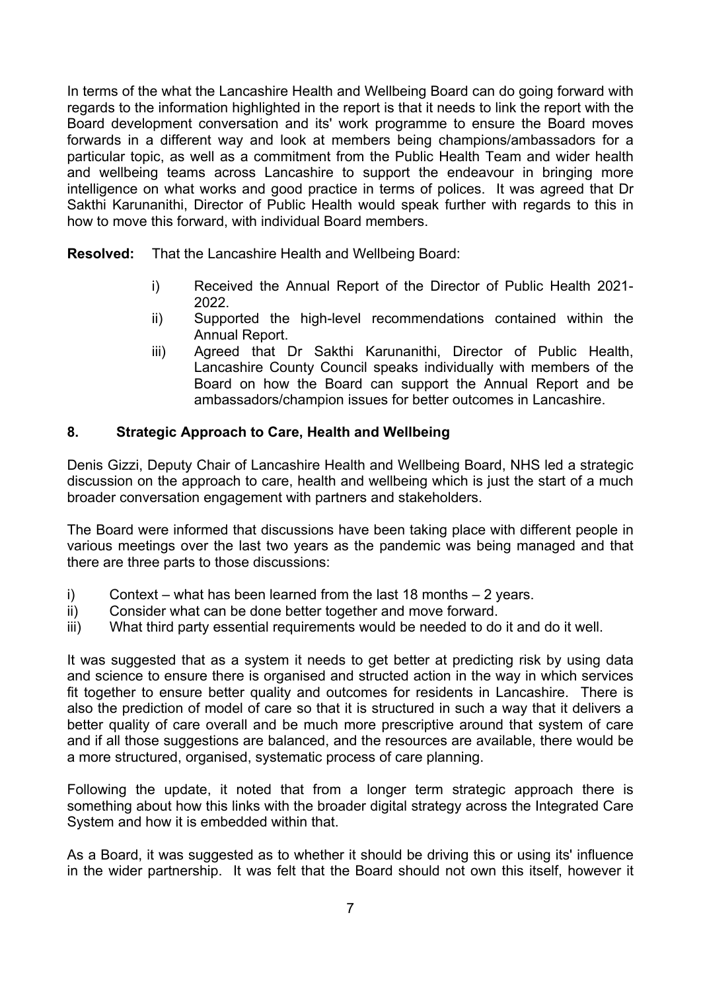In terms of the what the Lancashire Health and Wellbeing Board can do going forward with regards to the information highlighted in the report is that it needs to link the report with the Board development conversation and its' work programme to ensure the Board moves forwards in a different way and look at members being champions/ambassadors for a particular topic, as well as a commitment from the Public Health Team and wider health and wellbeing teams across Lancashire to support the endeavour in bringing more intelligence on what works and good practice in terms of polices. It was agreed that Dr Sakthi Karunanithi, Director of Public Health would speak further with regards to this in how to move this forward, with individual Board members.

**Resolved:** That the Lancashire Health and Wellbeing Board:

- i) Received the Annual Report of the Director of Public Health 2021- 2022.
- ii) Supported the high-level recommendations contained within the Annual Report.
- iii) Agreed that Dr Sakthi Karunanithi, Director of Public Health, Lancashire County Council speaks individually with members of the Board on how the Board can support the Annual Report and be ambassadors/champion issues for better outcomes in Lancashire.

# **8. Strategic Approach to Care, Health and Wellbeing**

Denis Gizzi, Deputy Chair of Lancashire Health and Wellbeing Board, NHS led a strategic discussion on the approach to care, health and wellbeing which is just the start of a much broader conversation engagement with partners and stakeholders.

The Board were informed that discussions have been taking place with different people in various meetings over the last two years as the pandemic was being managed and that there are three parts to those discussions:

- i) Context what has been learned from the last 18 months  $-2$  years.
- ii) Consider what can be done better together and move forward.
- iii) What third party essential requirements would be needed to do it and do it well.

It was suggested that as a system it needs to get better at predicting risk by using data and science to ensure there is organised and structed action in the way in which services fit together to ensure better quality and outcomes for residents in Lancashire. There is also the prediction of model of care so that it is structured in such a way that it delivers a better quality of care overall and be much more prescriptive around that system of care and if all those suggestions are balanced, and the resources are available, there would be a more structured, organised, systematic process of care planning.

Following the update, it noted that from a longer term strategic approach there is something about how this links with the broader digital strategy across the Integrated Care System and how it is embedded within that.

As a Board, it was suggested as to whether it should be driving this or using its' influence in the wider partnership. It was felt that the Board should not own this itself, however it